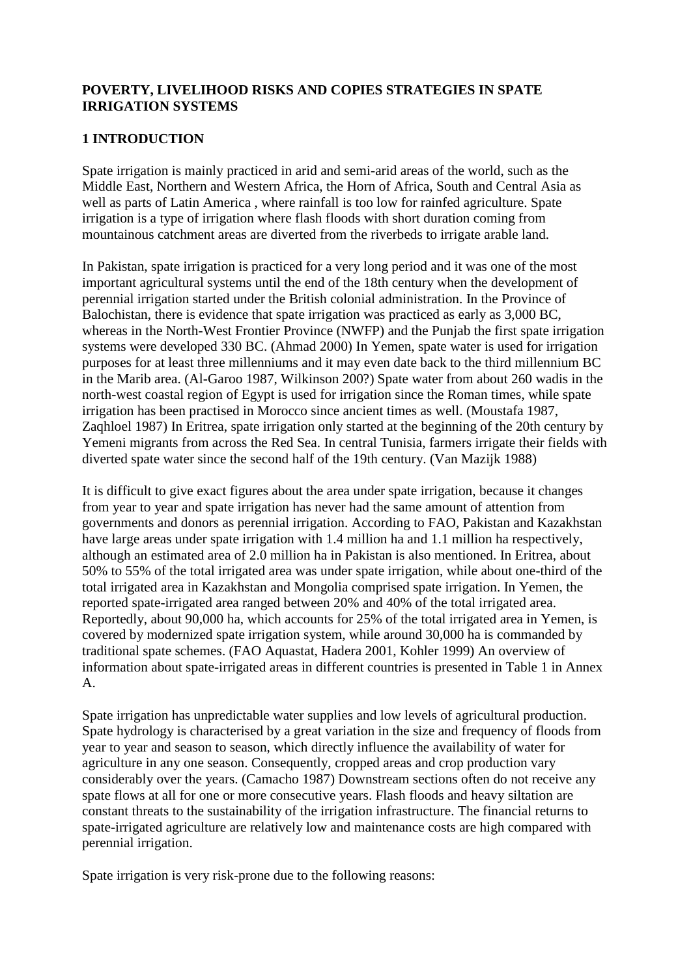### **POVERTY, LIVELIHOOD RISKS AND COPIES STRATEGIES IN SPATE IRRIGATION SYSTEMS**

### **1 INTRODUCTION**

Spate irrigation is mainly practiced in arid and semi-arid areas of the world, such as the Middle East, Northern and Western Africa, the Horn of Africa, South and Central Asia as well as parts of Latin America , where rainfall is too low for rainfed agriculture. Spate irrigation is a type of irrigation where flash floods with short duration coming from mountainous catchment areas are diverted from the riverbeds to irrigate arable land.

In Pakistan, spate irrigation is practiced for a very long period and it was one of the most important agricultural systems until the end of the 18th century when the development of perennial irrigation started under the British colonial administration. In the Province of Balochistan, there is evidence that spate irrigation was practiced as early as 3,000 BC, whereas in the North-West Frontier Province (NWFP) and the Punjab the first spate irrigation systems were developed 330 BC. (Ahmad 2000) In Yemen, spate water is used for irrigation purposes for at least three millenniums and it may even date back to the third millennium BC in the Marib area. (Al-Garoo 1987, Wilkinson 200?) Spate water from about 260 wadis in the north-west coastal region of Egypt is used for irrigation since the Roman times, while spate irrigation has been practised in Morocco since ancient times as well. (Moustafa 1987, Zaqhloel 1987) In Eritrea, spate irrigation only started at the beginning of the 20th century by Yemeni migrants from across the Red Sea. In central Tunisia, farmers irrigate their fields with diverted spate water since the second half of the 19th century. (Van Mazijk 1988)

It is difficult to give exact figures about the area under spate irrigation, because it changes from year to year and spate irrigation has never had the same amount of attention from governments and donors as perennial irrigation. According to FAO, Pakistan and Kazakhstan have large areas under spate irrigation with 1.4 million ha and 1.1 million ha respectively, although an estimated area of 2.0 million ha in Pakistan is also mentioned. In Eritrea, about 50% to 55% of the total irrigated area was under spate irrigation, while about one-third of the total irrigated area in Kazakhstan and Mongolia comprised spate irrigation. In Yemen, the reported spate-irrigated area ranged between 20% and 40% of the total irrigated area. Reportedly, about 90,000 ha, which accounts for 25% of the total irrigated area in Yemen, is covered by modernized spate irrigation system, while around 30,000 ha is commanded by traditional spate schemes. (FAO Aquastat, Hadera 2001, Kohler 1999) An overview of information about spate-irrigated areas in different countries is presented in Table 1 in Annex A.

Spate irrigation has unpredictable water supplies and low levels of agricultural production. Spate hydrology is characterised by a great variation in the size and frequency of floods from year to year and season to season, which directly influence the availability of water for agriculture in any one season. Consequently, cropped areas and crop production vary considerably over the years. (Camacho 1987) Downstream sections often do not receive any spate flows at all for one or more consecutive years. Flash floods and heavy siltation are constant threats to the sustainability of the irrigation infrastructure. The financial returns to spate-irrigated agriculture are relatively low and maintenance costs are high compared with perennial irrigation.

Spate irrigation is very risk-prone due to the following reasons: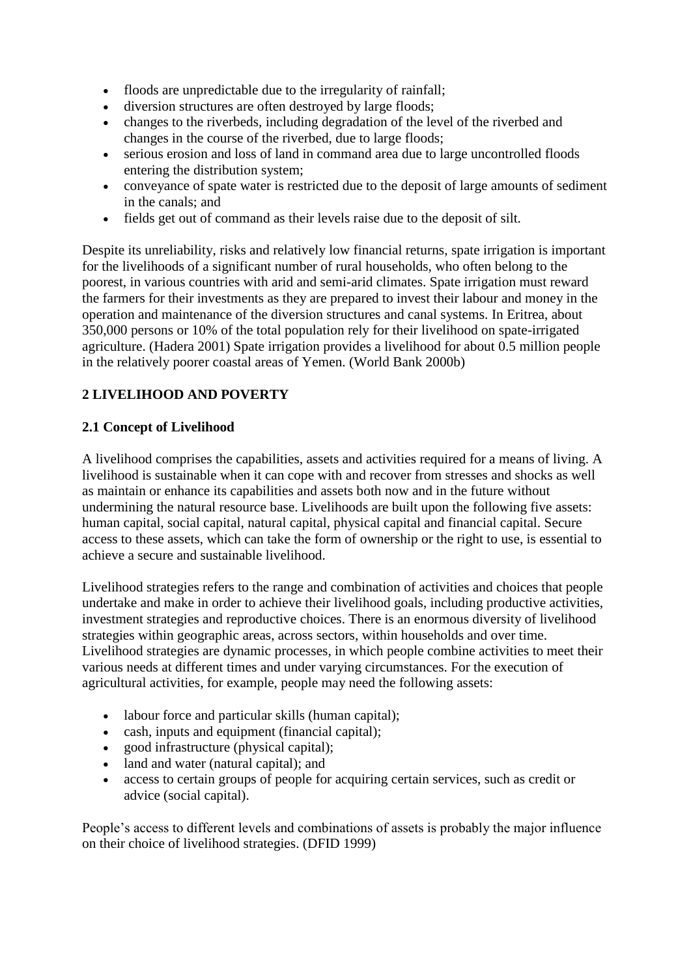- floods are unpredictable due to the irregularity of rainfall;
- diversion structures are often destroyed by large floods;
- changes to the riverbeds, including degradation of the level of the riverbed and changes in the course of the riverbed, due to large floods;
- serious erosion and loss of land in command area due to large uncontrolled floods entering the distribution system;
- conveyance of spate water is restricted due to the deposit of large amounts of sediment in the canals; and
- fields get out of command as their levels raise due to the deposit of silt.

Despite its unreliability, risks and relatively low financial returns, spate irrigation is important for the livelihoods of a significant number of rural households, who often belong to the poorest, in various countries with arid and semi-arid climates. Spate irrigation must reward the farmers for their investments as they are prepared to invest their labour and money in the operation and maintenance of the diversion structures and canal systems. In Eritrea, about 350,000 persons or 10% of the total population rely for their livelihood on spate-irrigated agriculture. (Hadera 2001) Spate irrigation provides a livelihood for about 0.5 million people in the relatively poorer coastal areas of Yemen. (World Bank 2000b)

## **2 LIVELIHOOD AND POVERTY**

### **2.1 Concept of Livelihood**

A livelihood comprises the capabilities, assets and activities required for a means of living. A livelihood is sustainable when it can cope with and recover from stresses and shocks as well as maintain or enhance its capabilities and assets both now and in the future without undermining the natural resource base. Livelihoods are built upon the following five assets: human capital, social capital, natural capital, physical capital and financial capital. Secure access to these assets, which can take the form of ownership or the right to use, is essential to achieve a secure and sustainable livelihood.

Livelihood strategies refers to the range and combination of activities and choices that people undertake and make in order to achieve their livelihood goals, including productive activities, investment strategies and reproductive choices. There is an enormous diversity of livelihood strategies within geographic areas, across sectors, within households and over time. Livelihood strategies are dynamic processes, in which people combine activities to meet their various needs at different times and under varying circumstances. For the execution of agricultural activities, for example, people may need the following assets:

- labour force and particular skills (human capital);
- cash, inputs and equipment (financial capital);
- good infrastructure (physical capital);
- land and water (natural capital); and
- access to certain groups of people for acquiring certain services, such as credit or advice (social capital).

People's access to different levels and combinations of assets is probably the major influence on their choice of livelihood strategies. (DFID 1999)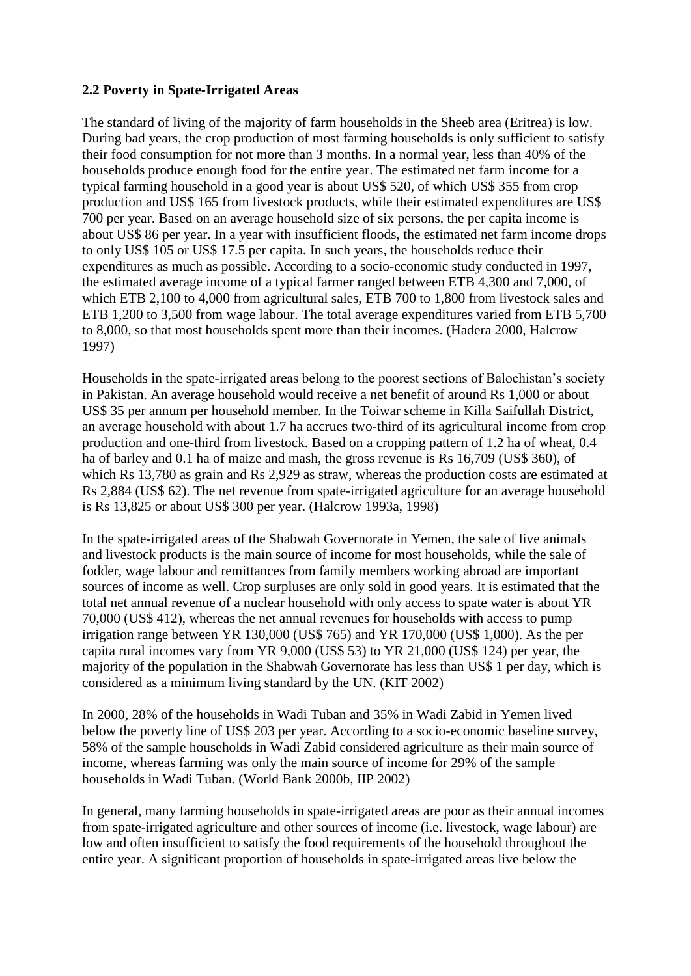### **2.2 Poverty in Spate-Irrigated Areas**

The standard of living of the majority of farm households in the Sheeb area (Eritrea) is low. During bad years, the crop production of most farming households is only sufficient to satisfy their food consumption for not more than 3 months. In a normal year, less than 40% of the households produce enough food for the entire year. The estimated net farm income for a typical farming household in a good year is about US\$ 520, of which US\$ 355 from crop production and US\$ 165 from livestock products, while their estimated expenditures are US\$ 700 per year. Based on an average household size of six persons, the per capita income is about US\$ 86 per year. In a year with insufficient floods, the estimated net farm income drops to only US\$ 105 or US\$ 17.5 per capita. In such years, the households reduce their expenditures as much as possible. According to a socio-economic study conducted in 1997, the estimated average income of a typical farmer ranged between ETB 4,300 and 7,000, of which ETB 2,100 to 4,000 from agricultural sales, ETB 700 to 1,800 from livestock sales and ETB 1,200 to 3,500 from wage labour. The total average expenditures varied from ETB 5,700 to 8,000, so that most households spent more than their incomes. (Hadera 2000, Halcrow 1997)

Households in the spate-irrigated areas belong to the poorest sections of Balochistan's society in Pakistan. An average household would receive a net benefit of around Rs 1,000 or about US\$ 35 per annum per household member. In the Toiwar scheme in Killa Saifullah District, an average household with about 1.7 ha accrues two-third of its agricultural income from crop production and one-third from livestock. Based on a cropping pattern of 1.2 ha of wheat, 0.4 ha of barley and 0.1 ha of maize and mash, the gross revenue is Rs 16,709 (US\$ 360), of which Rs 13,780 as grain and Rs 2,929 as straw, whereas the production costs are estimated at Rs 2,884 (US\$ 62). The net revenue from spate-irrigated agriculture for an average household is Rs 13,825 or about US\$ 300 per year. (Halcrow 1993a, 1998)

In the spate-irrigated areas of the Shabwah Governorate in Yemen, the sale of live animals and livestock products is the main source of income for most households, while the sale of fodder, wage labour and remittances from family members working abroad are important sources of income as well. Crop surpluses are only sold in good years. It is estimated that the total net annual revenue of a nuclear household with only access to spate water is about YR 70,000 (US\$ 412), whereas the net annual revenues for households with access to pump irrigation range between YR 130,000 (US\$ 765) and YR 170,000 (US\$ 1,000). As the per capita rural incomes vary from YR 9,000 (US\$ 53) to YR 21,000 (US\$ 124) per year, the majority of the population in the Shabwah Governorate has less than US\$ 1 per day, which is considered as a minimum living standard by the UN. (KIT 2002)

In 2000, 28% of the households in Wadi Tuban and 35% in Wadi Zabid in Yemen lived below the poverty line of US\$ 203 per year. According to a socio-economic baseline survey, 58% of the sample households in Wadi Zabid considered agriculture as their main source of income, whereas farming was only the main source of income for 29% of the sample households in Wadi Tuban. (World Bank 2000b, IIP 2002)

In general, many farming households in spate-irrigated areas are poor as their annual incomes from spate-irrigated agriculture and other sources of income (i.e. livestock, wage labour) are low and often insufficient to satisfy the food requirements of the household throughout the entire year. A significant proportion of households in spate-irrigated areas live below the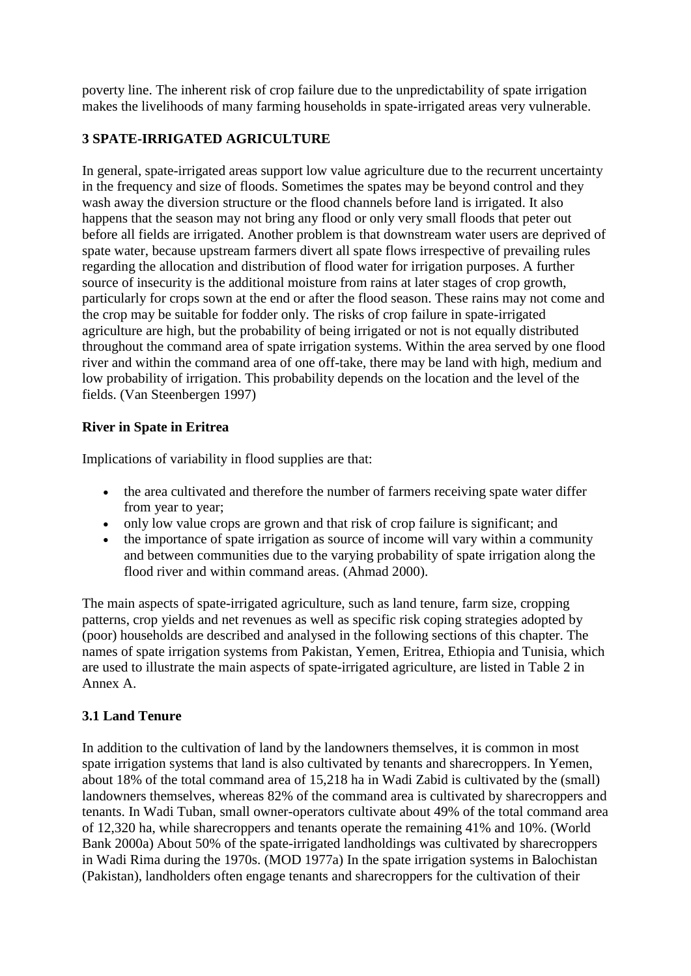poverty line. The inherent risk of crop failure due to the unpredictability of spate irrigation makes the livelihoods of many farming households in spate-irrigated areas very vulnerable.

## **3 SPATE-IRRIGATED AGRICULTURE**

In general, spate-irrigated areas support low value agriculture due to the recurrent uncertainty in the frequency and size of floods. Sometimes the spates may be beyond control and they wash away the diversion structure or the flood channels before land is irrigated. It also happens that the season may not bring any flood or only very small floods that peter out before all fields are irrigated. Another problem is that downstream water users are deprived of spate water, because upstream farmers divert all spate flows irrespective of prevailing rules regarding the allocation and distribution of flood water for irrigation purposes. A further source of insecurity is the additional moisture from rains at later stages of crop growth, particularly for crops sown at the end or after the flood season. These rains may not come and the crop may be suitable for fodder only. The risks of crop failure in spate-irrigated agriculture are high, but the probability of being irrigated or not is not equally distributed throughout the command area of spate irrigation systems. Within the area served by one flood river and within the command area of one off-take, there may be land with high, medium and low probability of irrigation. This probability depends on the location and the level of the fields. (Van Steenbergen 1997)

## **River in Spate in Eritrea**

Implications of variability in flood supplies are that:

- the area cultivated and therefore the number of farmers receiving spate water differ from year to year;
- only low value crops are grown and that risk of crop failure is significant; and
- the importance of spate irrigation as source of income will vary within a community and between communities due to the varying probability of spate irrigation along the flood river and within command areas. (Ahmad 2000).

The main aspects of spate-irrigated agriculture, such as land tenure, farm size, cropping patterns, crop yields and net revenues as well as specific risk coping strategies adopted by (poor) households are described and analysed in the following sections of this chapter. The names of spate irrigation systems from Pakistan, Yemen, Eritrea, Ethiopia and Tunisia, which are used to illustrate the main aspects of spate-irrigated agriculture, are listed in Table 2 in Annex A.

## **3.1 Land Tenure**

In addition to the cultivation of land by the landowners themselves, it is common in most spate irrigation systems that land is also cultivated by tenants and sharecroppers. In Yemen, about 18% of the total command area of 15,218 ha in Wadi Zabid is cultivated by the (small) landowners themselves, whereas 82% of the command area is cultivated by sharecroppers and tenants. In Wadi Tuban, small owner-operators cultivate about 49% of the total command area of 12,320 ha, while sharecroppers and tenants operate the remaining 41% and 10%. (World Bank 2000a) About 50% of the spate-irrigated landholdings was cultivated by sharecroppers in Wadi Rima during the 1970s. (MOD 1977a) In the spate irrigation systems in Balochistan (Pakistan), landholders often engage tenants and sharecroppers for the cultivation of their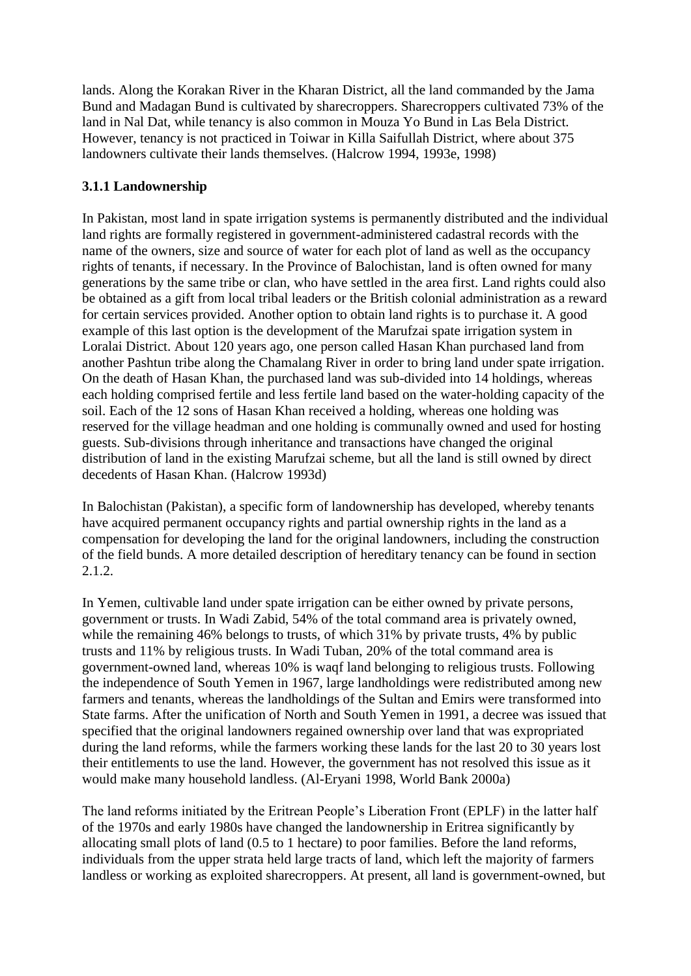lands. Along the Korakan River in the Kharan District, all the land commanded by the Jama Bund and Madagan Bund is cultivated by sharecroppers. Sharecroppers cultivated 73% of the land in Nal Dat, while tenancy is also common in Mouza Yo Bund in Las Bela District. However, tenancy is not practiced in Toiwar in Killa Saifullah District, where about 375 landowners cultivate their lands themselves. (Halcrow 1994, 1993e, 1998)

## **3.1.1 Landownership**

In Pakistan, most land in spate irrigation systems is permanently distributed and the individual land rights are formally registered in government-administered cadastral records with the name of the owners, size and source of water for each plot of land as well as the occupancy rights of tenants, if necessary. In the Province of Balochistan, land is often owned for many generations by the same tribe or clan, who have settled in the area first. Land rights could also be obtained as a gift from local tribal leaders or the British colonial administration as a reward for certain services provided. Another option to obtain land rights is to purchase it. A good example of this last option is the development of the Marufzai spate irrigation system in Loralai District. About 120 years ago, one person called Hasan Khan purchased land from another Pashtun tribe along the Chamalang River in order to bring land under spate irrigation. On the death of Hasan Khan, the purchased land was sub-divided into 14 holdings, whereas each holding comprised fertile and less fertile land based on the water-holding capacity of the soil. Each of the 12 sons of Hasan Khan received a holding, whereas one holding was reserved for the village headman and one holding is communally owned and used for hosting guests. Sub-divisions through inheritance and transactions have changed the original distribution of land in the existing Marufzai scheme, but all the land is still owned by direct decedents of Hasan Khan. (Halcrow 1993d)

In Balochistan (Pakistan), a specific form of landownership has developed, whereby tenants have acquired permanent occupancy rights and partial ownership rights in the land as a compensation for developing the land for the original landowners, including the construction of the field bunds. A more detailed description of hereditary tenancy can be found in section 2.1.2.

In Yemen, cultivable land under spate irrigation can be either owned by private persons, government or trusts. In Wadi Zabid, 54% of the total command area is privately owned, while the remaining 46% belongs to trusts, of which 31% by private trusts, 4% by public trusts and 11% by religious trusts. In Wadi Tuban, 20% of the total command area is government-owned land, whereas 10% is waqf land belonging to religious trusts. Following the independence of South Yemen in 1967, large landholdings were redistributed among new farmers and tenants, whereas the landholdings of the Sultan and Emirs were transformed into State farms. After the unification of North and South Yemen in 1991, a decree was issued that specified that the original landowners regained ownership over land that was expropriated during the land reforms, while the farmers working these lands for the last 20 to 30 years lost their entitlements to use the land. However, the government has not resolved this issue as it would make many household landless. (Al-Eryani 1998, World Bank 2000a)

The land reforms initiated by the Eritrean People's Liberation Front (EPLF) in the latter half of the 1970s and early 1980s have changed the landownership in Eritrea significantly by allocating small plots of land (0.5 to 1 hectare) to poor families. Before the land reforms, individuals from the upper strata held large tracts of land, which left the majority of farmers landless or working as exploited sharecroppers. At present, all land is government-owned, but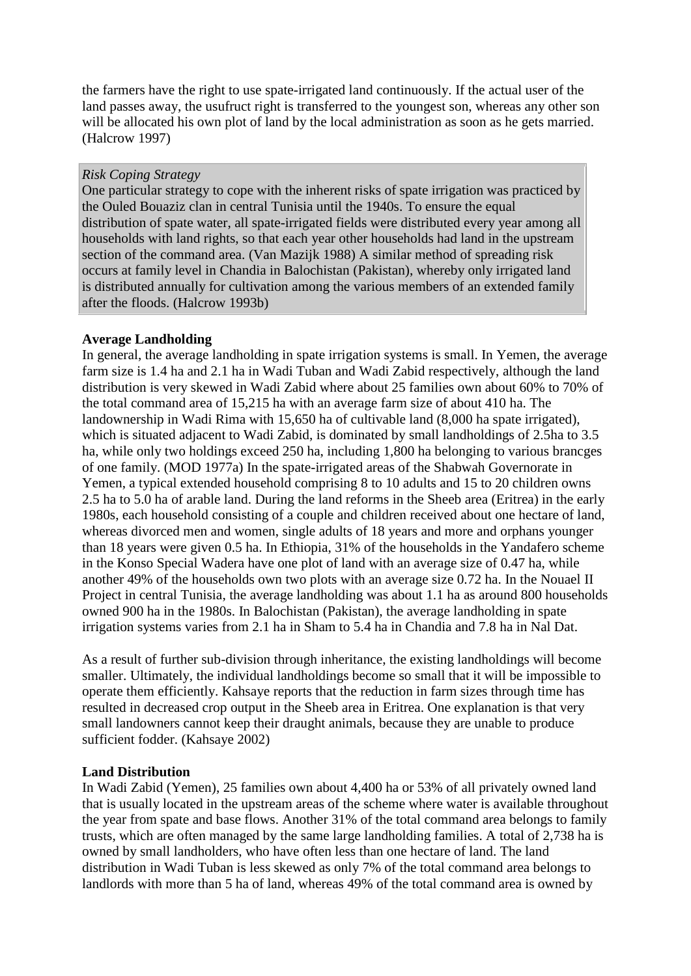the farmers have the right to use spate-irrigated land continuously. If the actual user of the land passes away, the usufruct right is transferred to the youngest son, whereas any other son will be allocated his own plot of land by the local administration as soon as he gets married. (Halcrow 1997)

#### *Risk Coping Strategy*

One particular strategy to cope with the inherent risks of spate irrigation was practiced by the Ouled Bouaziz clan in central Tunisia until the 1940s. To ensure the equal distribution of spate water, all spate-irrigated fields were distributed every year among all households with land rights, so that each year other households had land in the upstream section of the command area. (Van Mazijk 1988) A similar method of spreading risk occurs at family level in Chandia in Balochistan (Pakistan), whereby only irrigated land is distributed annually for cultivation among the various members of an extended family after the floods. (Halcrow 1993b)

### **Average Landholding**

In general, the average landholding in spate irrigation systems is small. In Yemen, the average farm size is 1.4 ha and 2.1 ha in Wadi Tuban and Wadi Zabid respectively, although the land distribution is very skewed in Wadi Zabid where about 25 families own about 60% to 70% of the total command area of 15,215 ha with an average farm size of about 410 ha. The landownership in Wadi Rima with 15,650 ha of cultivable land (8,000 ha spate irrigated), which is situated adjacent to Wadi Zabid, is dominated by small landholdings of 2.5ha to 3.5 ha, while only two holdings exceed 250 ha, including 1,800 ha belonging to various brancges of one family. (MOD 1977a) In the spate-irrigated areas of the Shabwah Governorate in Yemen, a typical extended household comprising 8 to 10 adults and 15 to 20 children owns 2.5 ha to 5.0 ha of arable land. During the land reforms in the Sheeb area (Eritrea) in the early 1980s, each household consisting of a couple and children received about one hectare of land, whereas divorced men and women, single adults of 18 years and more and orphans younger than 18 years were given 0.5 ha. In Ethiopia, 31% of the households in the Yandafero scheme in the Konso Special Wadera have one plot of land with an average size of 0.47 ha, while another 49% of the households own two plots with an average size 0.72 ha. In the Nouael II Project in central Tunisia, the average landholding was about 1.1 ha as around 800 households owned 900 ha in the 1980s. In Balochistan (Pakistan), the average landholding in spate irrigation systems varies from 2.1 ha in Sham to 5.4 ha in Chandia and 7.8 ha in Nal Dat.

As a result of further sub-division through inheritance, the existing landholdings will become smaller. Ultimately, the individual landholdings become so small that it will be impossible to operate them efficiently. Kahsaye reports that the reduction in farm sizes through time has resulted in decreased crop output in the Sheeb area in Eritrea. One explanation is that very small landowners cannot keep their draught animals, because they are unable to produce sufficient fodder. (Kahsaye 2002)

### **Land Distribution**

In Wadi Zabid (Yemen), 25 families own about 4,400 ha or 53% of all privately owned land that is usually located in the upstream areas of the scheme where water is available throughout the year from spate and base flows. Another 31% of the total command area belongs to family trusts, which are often managed by the same large landholding families. A total of 2,738 ha is owned by small landholders, who have often less than one hectare of land. The land distribution in Wadi Tuban is less skewed as only 7% of the total command area belongs to landlords with more than 5 ha of land, whereas 49% of the total command area is owned by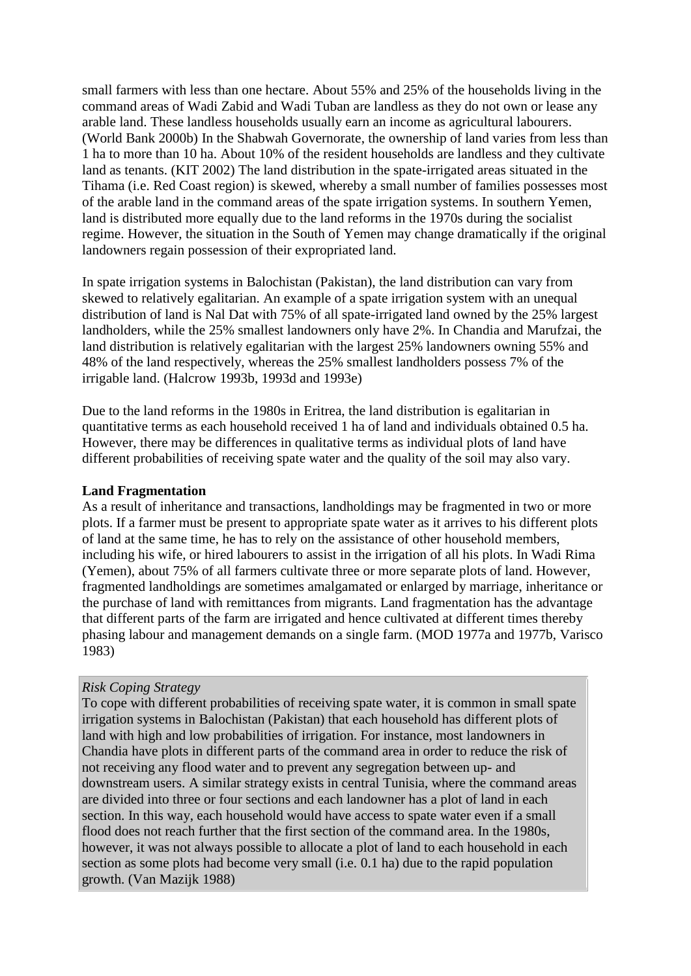small farmers with less than one hectare. About 55% and 25% of the households living in the command areas of Wadi Zabid and Wadi Tuban are landless as they do not own or lease any arable land. These landless households usually earn an income as agricultural labourers. (World Bank 2000b) In the Shabwah Governorate, the ownership of land varies from less than 1 ha to more than 10 ha. About 10% of the resident households are landless and they cultivate land as tenants. (KIT 2002) The land distribution in the spate-irrigated areas situated in the Tihama (i.e. Red Coast region) is skewed, whereby a small number of families possesses most of the arable land in the command areas of the spate irrigation systems. In southern Yemen, land is distributed more equally due to the land reforms in the 1970s during the socialist regime. However, the situation in the South of Yemen may change dramatically if the original landowners regain possession of their expropriated land.

In spate irrigation systems in Balochistan (Pakistan), the land distribution can vary from skewed to relatively egalitarian. An example of a spate irrigation system with an unequal distribution of land is Nal Dat with 75% of all spate-irrigated land owned by the 25% largest landholders, while the 25% smallest landowners only have 2%. In Chandia and Marufzai, the land distribution is relatively egalitarian with the largest 25% landowners owning 55% and 48% of the land respectively, whereas the 25% smallest landholders possess 7% of the irrigable land. (Halcrow 1993b, 1993d and 1993e)

Due to the land reforms in the 1980s in Eritrea, the land distribution is egalitarian in quantitative terms as each household received 1 ha of land and individuals obtained 0.5 ha. However, there may be differences in qualitative terms as individual plots of land have different probabilities of receiving spate water and the quality of the soil may also vary.

#### **Land Fragmentation**

As a result of inheritance and transactions, landholdings may be fragmented in two or more plots. If a farmer must be present to appropriate spate water as it arrives to his different plots of land at the same time, he has to rely on the assistance of other household members, including his wife, or hired labourers to assist in the irrigation of all his plots. In Wadi Rima (Yemen), about 75% of all farmers cultivate three or more separate plots of land. However, fragmented landholdings are sometimes amalgamated or enlarged by marriage, inheritance or the purchase of land with remittances from migrants. Land fragmentation has the advantage that different parts of the farm are irrigated and hence cultivated at different times thereby phasing labour and management demands on a single farm. (MOD 1977a and 1977b, Varisco 1983)

#### *Risk Coping Strategy*

To cope with different probabilities of receiving spate water, it is common in small spate irrigation systems in Balochistan (Pakistan) that each household has different plots of land with high and low probabilities of irrigation. For instance, most landowners in Chandia have plots in different parts of the command area in order to reduce the risk of not receiving any flood water and to prevent any segregation between up- and downstream users. A similar strategy exists in central Tunisia, where the command areas are divided into three or four sections and each landowner has a plot of land in each section. In this way, each household would have access to spate water even if a small flood does not reach further that the first section of the command area. In the 1980s, however, it was not always possible to allocate a plot of land to each household in each section as some plots had become very small (i.e. 0.1 ha) due to the rapid population growth. (Van Mazijk 1988)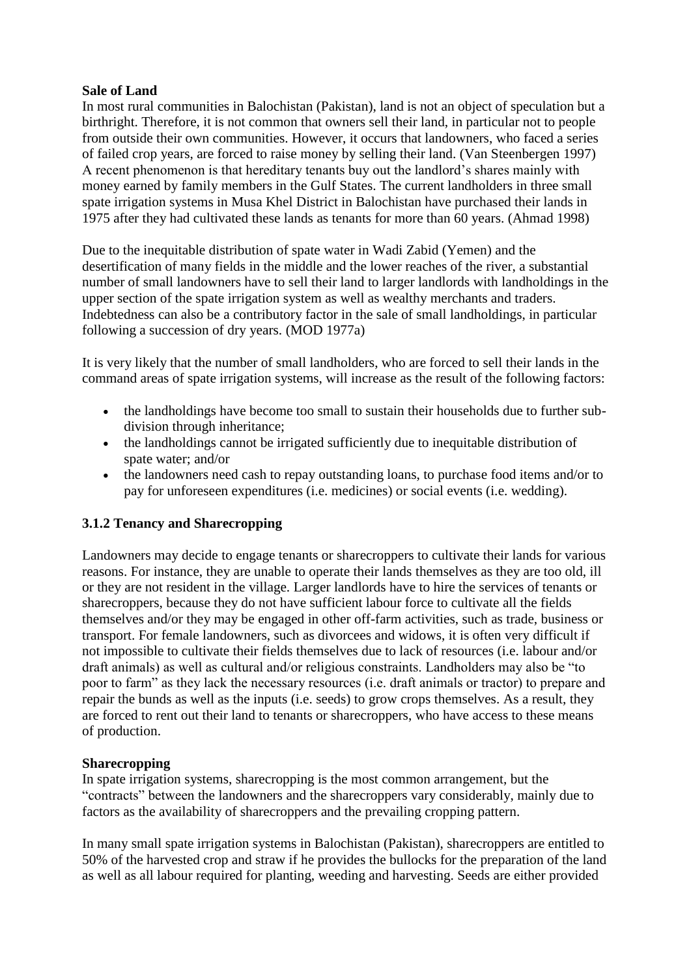#### **Sale of Land**

In most rural communities in Balochistan (Pakistan), land is not an object of speculation but a birthright. Therefore, it is not common that owners sell their land, in particular not to people from outside their own communities. However, it occurs that landowners, who faced a series of failed crop years, are forced to raise money by selling their land. (Van Steenbergen 1997) A recent phenomenon is that hereditary tenants buy out the landlord's shares mainly with money earned by family members in the Gulf States. The current landholders in three small spate irrigation systems in Musa Khel District in Balochistan have purchased their lands in 1975 after they had cultivated these lands as tenants for more than 60 years. (Ahmad 1998)

Due to the inequitable distribution of spate water in Wadi Zabid (Yemen) and the desertification of many fields in the middle and the lower reaches of the river, a substantial number of small landowners have to sell their land to larger landlords with landholdings in the upper section of the spate irrigation system as well as wealthy merchants and traders. Indebtedness can also be a contributory factor in the sale of small landholdings, in particular following a succession of dry years. (MOD 1977a)

It is very likely that the number of small landholders, who are forced to sell their lands in the command areas of spate irrigation systems, will increase as the result of the following factors:

- the landholdings have become too small to sustain their households due to further subdivision through inheritance;
- the landholdings cannot be irrigated sufficiently due to inequitable distribution of spate water; and/or
- the landowners need cash to repay outstanding loans, to purchase food items and/or to pay for unforeseen expenditures (i.e. medicines) or social events (i.e. wedding).

### **3.1.2 Tenancy and Sharecropping**

Landowners may decide to engage tenants or sharecroppers to cultivate their lands for various reasons. For instance, they are unable to operate their lands themselves as they are too old, ill or they are not resident in the village. Larger landlords have to hire the services of tenants or sharecroppers, because they do not have sufficient labour force to cultivate all the fields themselves and/or they may be engaged in other off-farm activities, such as trade, business or transport. For female landowners, such as divorcees and widows, it is often very difficult if not impossible to cultivate their fields themselves due to lack of resources (i.e. labour and/or draft animals) as well as cultural and/or religious constraints. Landholders may also be "to poor to farm" as they lack the necessary resources (i.e. draft animals or tractor) to prepare and repair the bunds as well as the inputs (i.e. seeds) to grow crops themselves. As a result, they are forced to rent out their land to tenants or sharecroppers, who have access to these means of production.

### **Sharecropping**

In spate irrigation systems, sharecropping is the most common arrangement, but the "contracts" between the landowners and the sharecroppers vary considerably, mainly due to factors as the availability of sharecroppers and the prevailing cropping pattern.

In many small spate irrigation systems in Balochistan (Pakistan), sharecroppers are entitled to 50% of the harvested crop and straw if he provides the bullocks for the preparation of the land as well as all labour required for planting, weeding and harvesting. Seeds are either provided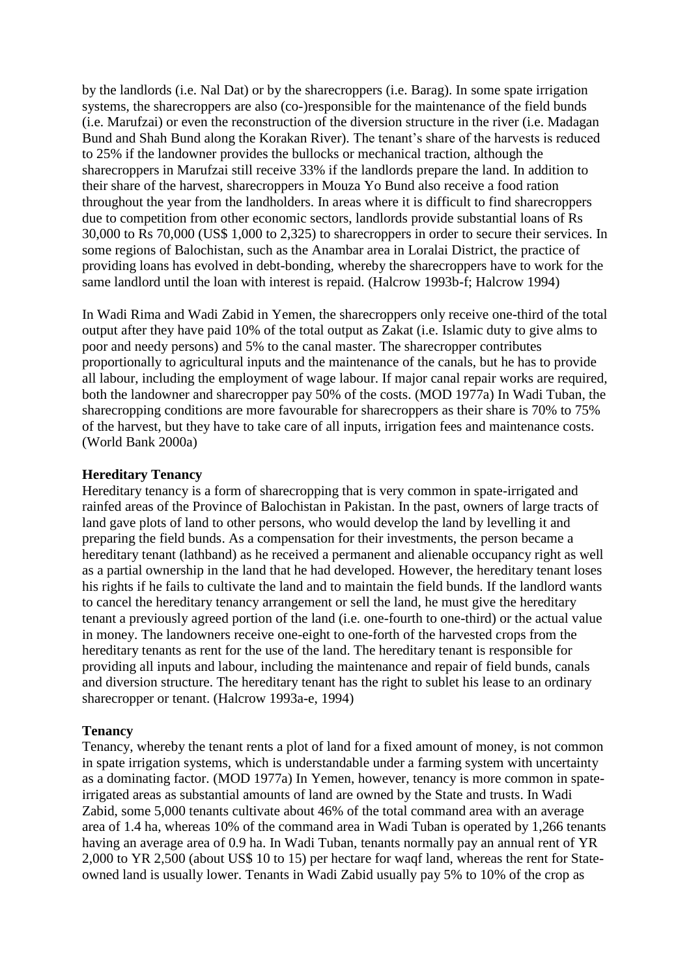by the landlords (i.e. Nal Dat) or by the sharecroppers (i.e. Barag). In some spate irrigation systems, the sharecroppers are also (co-)responsible for the maintenance of the field bunds (i.e. Marufzai) or even the reconstruction of the diversion structure in the river (i.e. Madagan Bund and Shah Bund along the Korakan River). The tenant's share of the harvests is reduced to 25% if the landowner provides the bullocks or mechanical traction, although the sharecroppers in Marufzai still receive 33% if the landlords prepare the land. In addition to their share of the harvest, sharecroppers in Mouza Yo Bund also receive a food ration throughout the year from the landholders. In areas where it is difficult to find sharecroppers due to competition from other economic sectors, landlords provide substantial loans of Rs 30,000 to Rs 70,000 (US\$ 1,000 to 2,325) to sharecroppers in order to secure their services. In some regions of Balochistan, such as the Anambar area in Loralai District, the practice of providing loans has evolved in debt-bonding, whereby the sharecroppers have to work for the same landlord until the loan with interest is repaid. (Halcrow 1993b-f; Halcrow 1994)

In Wadi Rima and Wadi Zabid in Yemen, the sharecroppers only receive one-third of the total output after they have paid 10% of the total output as Zakat (i.e. Islamic duty to give alms to poor and needy persons) and 5% to the canal master. The sharecropper contributes proportionally to agricultural inputs and the maintenance of the canals, but he has to provide all labour, including the employment of wage labour. If major canal repair works are required, both the landowner and sharecropper pay 50% of the costs. (MOD 1977a) In Wadi Tuban, the sharecropping conditions are more favourable for sharecroppers as their share is 70% to 75% of the harvest, but they have to take care of all inputs, irrigation fees and maintenance costs. (World Bank 2000a)

#### **Hereditary Tenancy**

Hereditary tenancy is a form of sharecropping that is very common in spate-irrigated and rainfed areas of the Province of Balochistan in Pakistan. In the past, owners of large tracts of land gave plots of land to other persons, who would develop the land by levelling it and preparing the field bunds. As a compensation for their investments, the person became a hereditary tenant (lathband) as he received a permanent and alienable occupancy right as well as a partial ownership in the land that he had developed. However, the hereditary tenant loses his rights if he fails to cultivate the land and to maintain the field bunds. If the landlord wants to cancel the hereditary tenancy arrangement or sell the land, he must give the hereditary tenant a previously agreed portion of the land (i.e. one-fourth to one-third) or the actual value in money. The landowners receive one-eight to one-forth of the harvested crops from the hereditary tenants as rent for the use of the land. The hereditary tenant is responsible for providing all inputs and labour, including the maintenance and repair of field bunds, canals and diversion structure. The hereditary tenant has the right to sublet his lease to an ordinary sharecropper or tenant. (Halcrow 1993a-e, 1994)

#### **Tenancy**

Tenancy, whereby the tenant rents a plot of land for a fixed amount of money, is not common in spate irrigation systems, which is understandable under a farming system with uncertainty as a dominating factor. (MOD 1977a) In Yemen, however, tenancy is more common in spateirrigated areas as substantial amounts of land are owned by the State and trusts. In Wadi Zabid, some 5,000 tenants cultivate about 46% of the total command area with an average area of 1.4 ha, whereas 10% of the command area in Wadi Tuban is operated by 1,266 tenants having an average area of 0.9 ha. In Wadi Tuban, tenants normally pay an annual rent of YR 2,000 to YR 2,500 (about US\$ 10 to 15) per hectare for waqf land, whereas the rent for Stateowned land is usually lower. Tenants in Wadi Zabid usually pay 5% to 10% of the crop as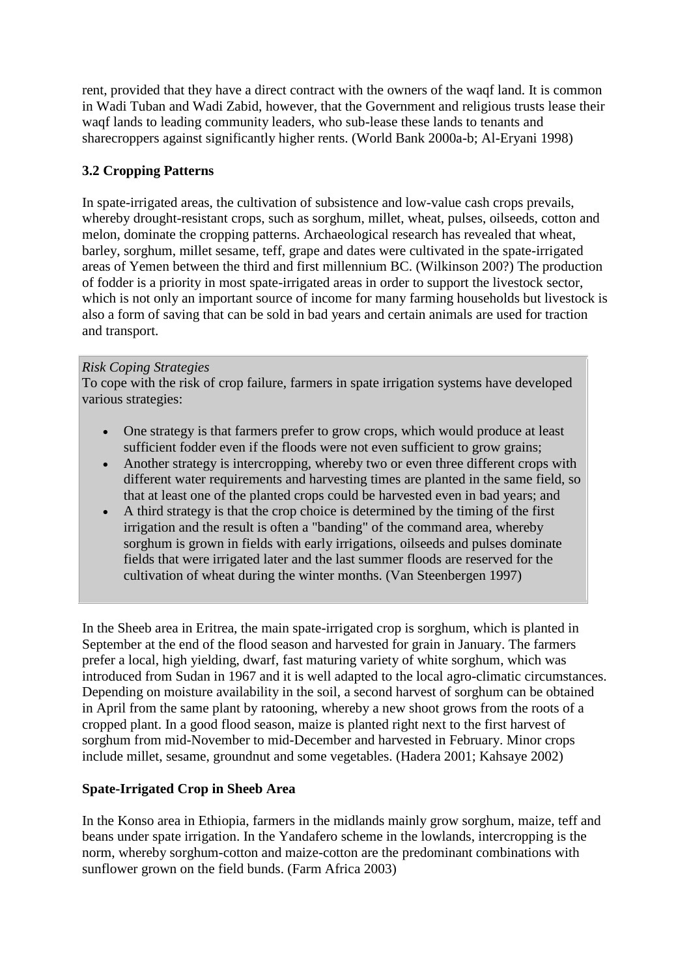rent, provided that they have a direct contract with the owners of the waqf land. It is common in Wadi Tuban and Wadi Zabid, however, that the Government and religious trusts lease their waqf lands to leading community leaders, who sub-lease these lands to tenants and sharecroppers against significantly higher rents. (World Bank 2000a-b; Al-Eryani 1998)

## **3.2 Cropping Patterns**

In spate-irrigated areas, the cultivation of subsistence and low-value cash crops prevails, whereby drought-resistant crops, such as sorghum, millet, wheat, pulses, oilseeds, cotton and melon, dominate the cropping patterns. Archaeological research has revealed that wheat, barley, sorghum, millet sesame, teff, grape and dates were cultivated in the spate-irrigated areas of Yemen between the third and first millennium BC. (Wilkinson 200?) The production of fodder is a priority in most spate-irrigated areas in order to support the livestock sector, which is not only an important source of income for many farming households but livestock is also a form of saving that can be sold in bad years and certain animals are used for traction and transport.

### *Risk Coping Strategies*

To cope with the risk of crop failure, farmers in spate irrigation systems have developed various strategies:

- One strategy is that farmers prefer to grow crops, which would produce at least sufficient fodder even if the floods were not even sufficient to grow grains;
- Another strategy is intercropping, whereby two or even three different crops with different water requirements and harvesting times are planted in the same field, so that at least one of the planted crops could be harvested even in bad years; and
- A third strategy is that the crop choice is determined by the timing of the first irrigation and the result is often a "banding" of the command area, whereby sorghum is grown in fields with early irrigations, oilseeds and pulses dominate fields that were irrigated later and the last summer floods are reserved for the cultivation of wheat during the winter months. (Van Steenbergen 1997)

In the Sheeb area in Eritrea, the main spate-irrigated crop is sorghum, which is planted in September at the end of the flood season and harvested for grain in January. The farmers prefer a local, high yielding, dwarf, fast maturing variety of white sorghum, which was introduced from Sudan in 1967 and it is well adapted to the local agro-climatic circumstances. Depending on moisture availability in the soil, a second harvest of sorghum can be obtained in April from the same plant by ratooning, whereby a new shoot grows from the roots of a cropped plant. In a good flood season, maize is planted right next to the first harvest of sorghum from mid-November to mid-December and harvested in February. Minor crops include millet, sesame, groundnut and some vegetables. (Hadera 2001; Kahsaye 2002)

### **Spate-Irrigated Crop in Sheeb Area**

In the Konso area in Ethiopia, farmers in the midlands mainly grow sorghum, maize, teff and beans under spate irrigation. In the Yandafero scheme in the lowlands, intercropping is the norm, whereby sorghum-cotton and maize-cotton are the predominant combinations with sunflower grown on the field bunds. (Farm Africa 2003)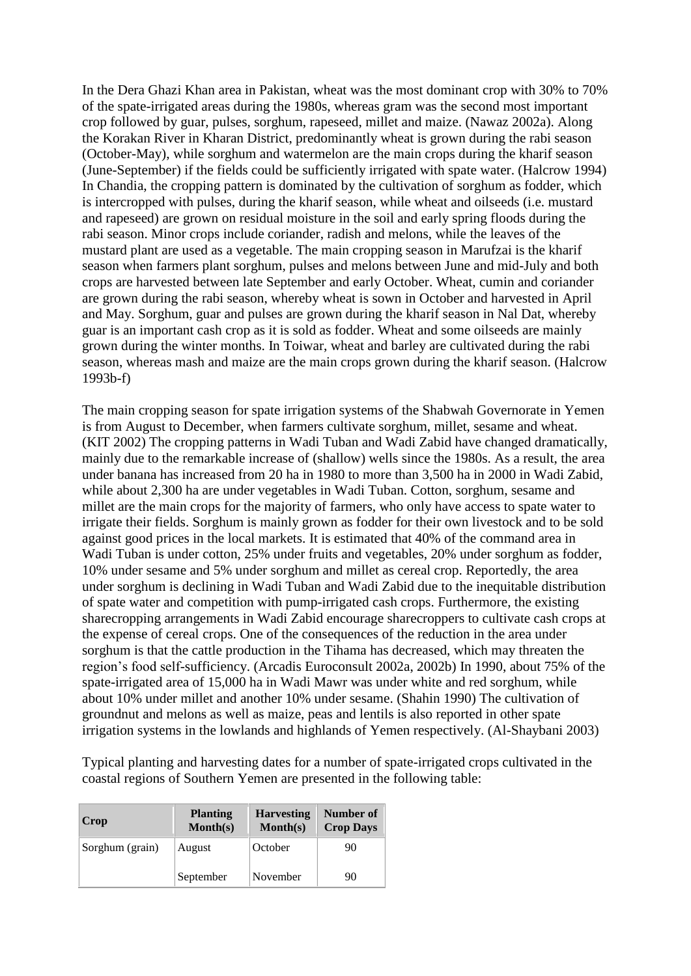In the Dera Ghazi Khan area in Pakistan, wheat was the most dominant crop with 30% to 70% of the spate-irrigated areas during the 1980s, whereas gram was the second most important crop followed by guar, pulses, sorghum, rapeseed, millet and maize. (Nawaz 2002a). Along the Korakan River in Kharan District, predominantly wheat is grown during the rabi season (October-May), while sorghum and watermelon are the main crops during the kharif season (June-September) if the fields could be sufficiently irrigated with spate water. (Halcrow 1994) In Chandia, the cropping pattern is dominated by the cultivation of sorghum as fodder, which is intercropped with pulses, during the kharif season, while wheat and oilseeds (i.e. mustard and rapeseed) are grown on residual moisture in the soil and early spring floods during the rabi season. Minor crops include coriander, radish and melons, while the leaves of the mustard plant are used as a vegetable. The main cropping season in Marufzai is the kharif season when farmers plant sorghum, pulses and melons between June and mid-July and both crops are harvested between late September and early October. Wheat, cumin and coriander are grown during the rabi season, whereby wheat is sown in October and harvested in April and May. Sorghum, guar and pulses are grown during the kharif season in Nal Dat, whereby guar is an important cash crop as it is sold as fodder. Wheat and some oilseeds are mainly grown during the winter months. In Toiwar, wheat and barley are cultivated during the rabi season, whereas mash and maize are the main crops grown during the kharif season. (Halcrow 1993b-f)

The main cropping season for spate irrigation systems of the Shabwah Governorate in Yemen is from August to December, when farmers cultivate sorghum, millet, sesame and wheat. (KIT 2002) The cropping patterns in Wadi Tuban and Wadi Zabid have changed dramatically, mainly due to the remarkable increase of (shallow) wells since the 1980s. As a result, the area under banana has increased from 20 ha in 1980 to more than 3,500 ha in 2000 in Wadi Zabid, while about 2,300 ha are under vegetables in Wadi Tuban. Cotton, sorghum, sesame and millet are the main crops for the majority of farmers, who only have access to spate water to irrigate their fields. Sorghum is mainly grown as fodder for their own livestock and to be sold against good prices in the local markets. It is estimated that 40% of the command area in Wadi Tuban is under cotton, 25% under fruits and vegetables, 20% under sorghum as fodder, 10% under sesame and 5% under sorghum and millet as cereal crop. Reportedly, the area under sorghum is declining in Wadi Tuban and Wadi Zabid due to the inequitable distribution of spate water and competition with pump-irrigated cash crops. Furthermore, the existing sharecropping arrangements in Wadi Zabid encourage sharecroppers to cultivate cash crops at the expense of cereal crops. One of the consequences of the reduction in the area under sorghum is that the cattle production in the Tihama has decreased, which may threaten the region's food self-sufficiency. (Arcadis Euroconsult 2002a, 2002b) In 1990, about 75% of the spate-irrigated area of 15,000 ha in Wadi Mawr was under white and red sorghum, while about 10% under millet and another 10% under sesame. (Shahin 1990) The cultivation of groundnut and melons as well as maize, peas and lentils is also reported in other spate irrigation systems in the lowlands and highlands of Yemen respectively. (Al-Shaybani 2003)

Typical planting and harvesting dates for a number of spate-irrigated crops cultivated in the coastal regions of Southern Yemen are presented in the following table:

| Crop            | <b>Planting</b><br>$\text{Month}(s)$ | <b>Harvesting</b><br>$\text{Month}(s)$ | Number of<br><b>Crop Days</b> |
|-----------------|--------------------------------------|----------------------------------------|-------------------------------|
| Sorghum (grain) | August                               | October                                | 90                            |
|                 | September                            | November                               | 90                            |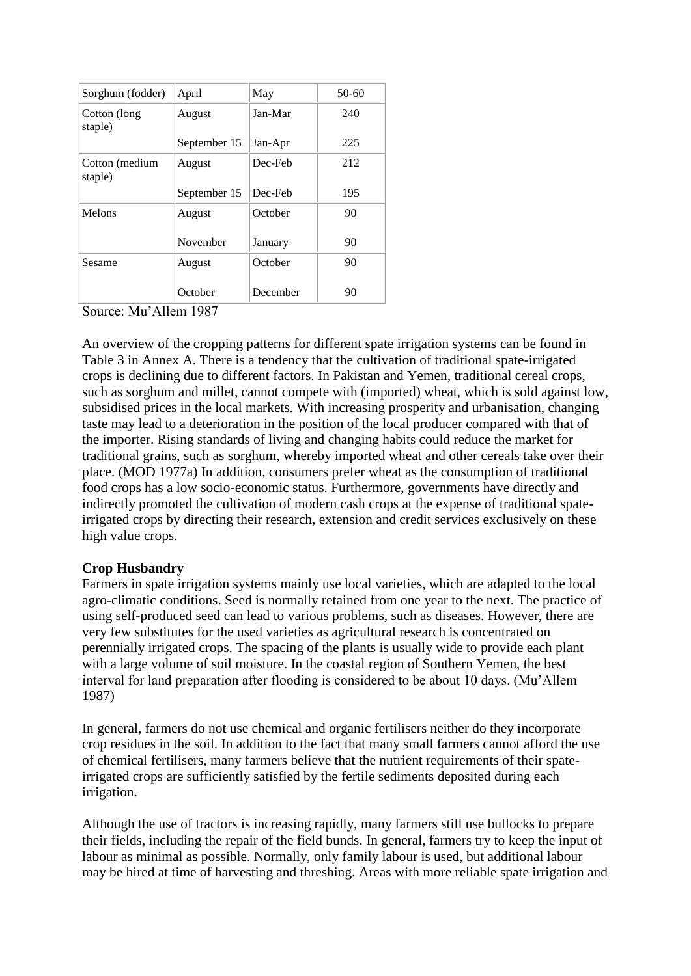| Sorghum (fodder)          | April        | May      | $50 - 60$ |
|---------------------------|--------------|----------|-----------|
| Cotton (long<br>staple)   | August       | Jan-Mar  | 240       |
|                           | September 15 | Jan-Apr  | 225       |
| Cotton (medium<br>staple) | August       | Dec-Feb  | 212       |
|                           | September 15 | Dec-Feb  | 195       |
| Melons                    | August       | October  | 90        |
|                           | November     | January  | 90        |
| Sesame                    | August       | October  | 90        |
|                           | October      | December | 90        |

Source: Mu'Allem 1987

An overview of the cropping patterns for different spate irrigation systems can be found in Table 3 in Annex A. There is a tendency that the cultivation of traditional spate-irrigated crops is declining due to different factors. In Pakistan and Yemen, traditional cereal crops, such as sorghum and millet, cannot compete with (imported) wheat, which is sold against low, subsidised prices in the local markets. With increasing prosperity and urbanisation, changing taste may lead to a deterioration in the position of the local producer compared with that of the importer. Rising standards of living and changing habits could reduce the market for traditional grains, such as sorghum, whereby imported wheat and other cereals take over their place. (MOD 1977a) In addition, consumers prefer wheat as the consumption of traditional food crops has a low socio-economic status. Furthermore, governments have directly and indirectly promoted the cultivation of modern cash crops at the expense of traditional spateirrigated crops by directing their research, extension and credit services exclusively on these high value crops.

#### **Crop Husbandry**

Farmers in spate irrigation systems mainly use local varieties, which are adapted to the local agro-climatic conditions. Seed is normally retained from one year to the next. The practice of using self-produced seed can lead to various problems, such as diseases. However, there are very few substitutes for the used varieties as agricultural research is concentrated on perennially irrigated crops. The spacing of the plants is usually wide to provide each plant with a large volume of soil moisture. In the coastal region of Southern Yemen, the best interval for land preparation after flooding is considered to be about 10 days. (Mu'Allem 1987)

In general, farmers do not use chemical and organic fertilisers neither do they incorporate crop residues in the soil. In addition to the fact that many small farmers cannot afford the use of chemical fertilisers, many farmers believe that the nutrient requirements of their spateirrigated crops are sufficiently satisfied by the fertile sediments deposited during each irrigation.

Although the use of tractors is increasing rapidly, many farmers still use bullocks to prepare their fields, including the repair of the field bunds. In general, farmers try to keep the input of labour as minimal as possible. Normally, only family labour is used, but additional labour may be hired at time of harvesting and threshing. Areas with more reliable spate irrigation and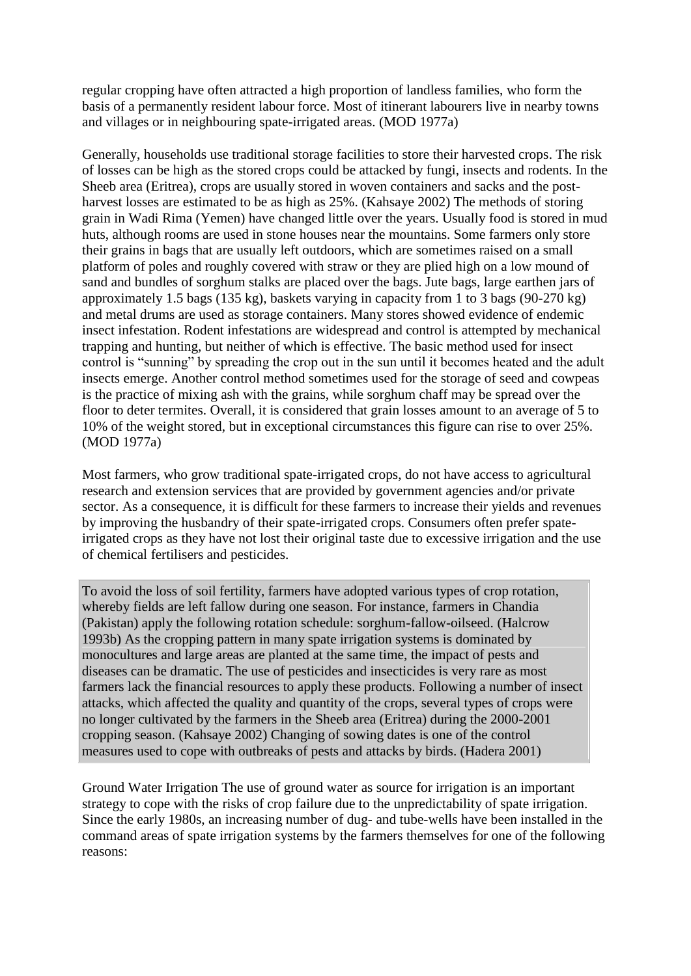regular cropping have often attracted a high proportion of landless families, who form the basis of a permanently resident labour force. Most of itinerant labourers live in nearby towns and villages or in neighbouring spate-irrigated areas. (MOD 1977a)

Generally, households use traditional storage facilities to store their harvested crops. The risk of losses can be high as the stored crops could be attacked by fungi, insects and rodents. In the Sheeb area (Eritrea), crops are usually stored in woven containers and sacks and the postharvest losses are estimated to be as high as 25%. (Kahsaye 2002) The methods of storing grain in Wadi Rima (Yemen) have changed little over the years. Usually food is stored in mud huts, although rooms are used in stone houses near the mountains. Some farmers only store their grains in bags that are usually left outdoors, which are sometimes raised on a small platform of poles and roughly covered with straw or they are plied high on a low mound of sand and bundles of sorghum stalks are placed over the bags. Jute bags, large earthen jars of approximately 1.5 bags (135 kg), baskets varying in capacity from 1 to 3 bags (90-270 kg) and metal drums are used as storage containers. Many stores showed evidence of endemic insect infestation. Rodent infestations are widespread and control is attempted by mechanical trapping and hunting, but neither of which is effective. The basic method used for insect control is "sunning" by spreading the crop out in the sun until it becomes heated and the adult insects emerge. Another control method sometimes used for the storage of seed and cowpeas is the practice of mixing ash with the grains, while sorghum chaff may be spread over the floor to deter termites. Overall, it is considered that grain losses amount to an average of 5 to 10% of the weight stored, but in exceptional circumstances this figure can rise to over 25%. (MOD 1977a)

Most farmers, who grow traditional spate-irrigated crops, do not have access to agricultural research and extension services that are provided by government agencies and/or private sector. As a consequence, it is difficult for these farmers to increase their yields and revenues by improving the husbandry of their spate-irrigated crops. Consumers often prefer spateirrigated crops as they have not lost their original taste due to excessive irrigation and the use of chemical fertilisers and pesticides.

To avoid the loss of soil fertility, farmers have adopted various types of crop rotation, whereby fields are left fallow during one season. For instance, farmers in Chandia (Pakistan) apply the following rotation schedule: sorghum-fallow-oilseed. (Halcrow 1993b) As the cropping pattern in many spate irrigation systems is dominated by monocultures and large areas are planted at the same time, the impact of pests and diseases can be dramatic. The use of pesticides and insecticides is very rare as most farmers lack the financial resources to apply these products. Following a number of insect attacks, which affected the quality and quantity of the crops, several types of crops were no longer cultivated by the farmers in the Sheeb area (Eritrea) during the 2000-2001 cropping season. (Kahsaye 2002) Changing of sowing dates is one of the control measures used to cope with outbreaks of pests and attacks by birds. (Hadera 2001)

Ground Water Irrigation The use of ground water as source for irrigation is an important strategy to cope with the risks of crop failure due to the unpredictability of spate irrigation. Since the early 1980s, an increasing number of dug- and tube-wells have been installed in the command areas of spate irrigation systems by the farmers themselves for one of the following reasons: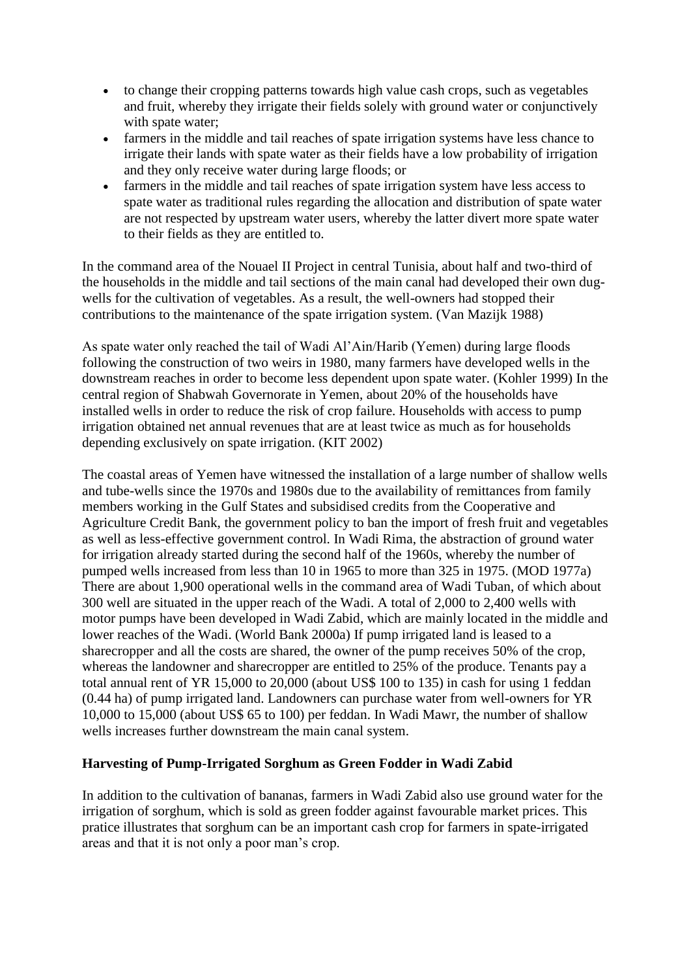- to change their cropping patterns towards high value cash crops, such as vegetables and fruit, whereby they irrigate their fields solely with ground water or conjunctively with spate water:
- farmers in the middle and tail reaches of spate irrigation systems have less chance to irrigate their lands with spate water as their fields have a low probability of irrigation and they only receive water during large floods; or
- farmers in the middle and tail reaches of spate irrigation system have less access to spate water as traditional rules regarding the allocation and distribution of spate water are not respected by upstream water users, whereby the latter divert more spate water to their fields as they are entitled to.

In the command area of the Nouael II Project in central Tunisia, about half and two-third of the households in the middle and tail sections of the main canal had developed their own dugwells for the cultivation of vegetables. As a result, the well-owners had stopped their contributions to the maintenance of the spate irrigation system. (Van Mazijk 1988)

As spate water only reached the tail of Wadi Al'Ain/Harib (Yemen) during large floods following the construction of two weirs in 1980, many farmers have developed wells in the downstream reaches in order to become less dependent upon spate water. (Kohler 1999) In the central region of Shabwah Governorate in Yemen, about 20% of the households have installed wells in order to reduce the risk of crop failure. Households with access to pump irrigation obtained net annual revenues that are at least twice as much as for households depending exclusively on spate irrigation. (KIT 2002)

The coastal areas of Yemen have witnessed the installation of a large number of shallow wells and tube-wells since the 1970s and 1980s due to the availability of remittances from family members working in the Gulf States and subsidised credits from the Cooperative and Agriculture Credit Bank, the government policy to ban the import of fresh fruit and vegetables as well as less-effective government control. In Wadi Rima, the abstraction of ground water for irrigation already started during the second half of the 1960s, whereby the number of pumped wells increased from less than 10 in 1965 to more than 325 in 1975. (MOD 1977a) There are about 1,900 operational wells in the command area of Wadi Tuban, of which about 300 well are situated in the upper reach of the Wadi. A total of 2,000 to 2,400 wells with motor pumps have been developed in Wadi Zabid, which are mainly located in the middle and lower reaches of the Wadi. (World Bank 2000a) If pump irrigated land is leased to a sharecropper and all the costs are shared, the owner of the pump receives 50% of the crop, whereas the landowner and sharecropper are entitled to 25% of the produce. Tenants pay a total annual rent of YR 15,000 to 20,000 (about US\$ 100 to 135) in cash for using 1 feddan (0.44 ha) of pump irrigated land. Landowners can purchase water from well-owners for YR 10,000 to 15,000 (about US\$ 65 to 100) per feddan. In Wadi Mawr, the number of shallow wells increases further downstream the main canal system.

### **Harvesting of Pump-Irrigated Sorghum as Green Fodder in Wadi Zabid**

In addition to the cultivation of bananas, farmers in Wadi Zabid also use ground water for the irrigation of sorghum, which is sold as green fodder against favourable market prices. This pratice illustrates that sorghum can be an important cash crop for farmers in spate-irrigated areas and that it is not only a poor man's crop.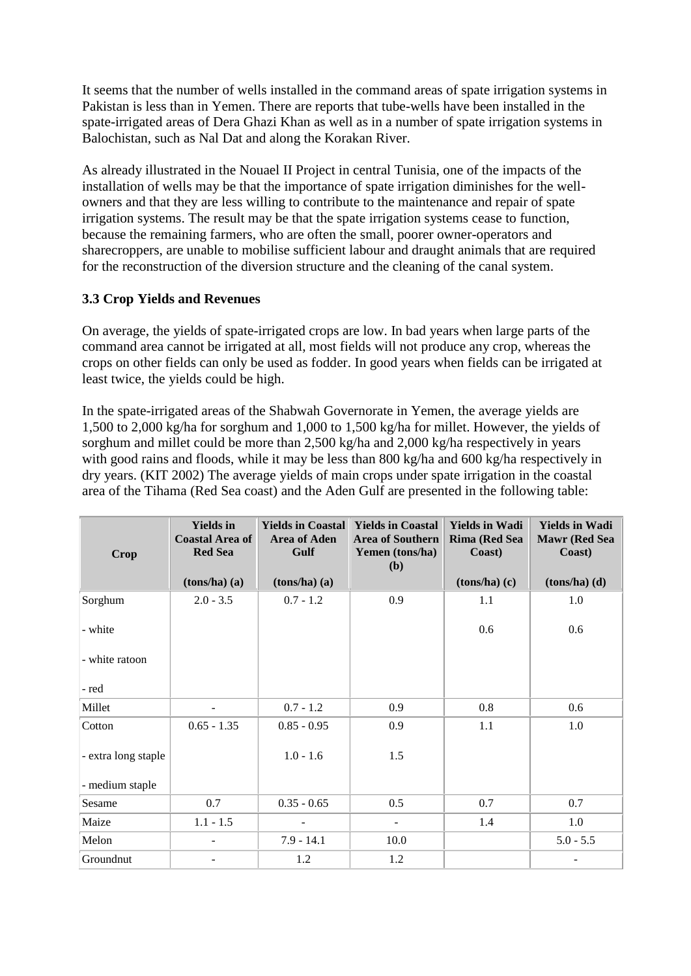It seems that the number of wells installed in the command areas of spate irrigation systems in Pakistan is less than in Yemen. There are reports that tube-wells have been installed in the spate-irrigated areas of Dera Ghazi Khan as well as in a number of spate irrigation systems in Balochistan, such as Nal Dat and along the Korakan River.

As already illustrated in the Nouael II Project in central Tunisia, one of the impacts of the installation of wells may be that the importance of spate irrigation diminishes for the wellowners and that they are less willing to contribute to the maintenance and repair of spate irrigation systems. The result may be that the spate irrigation systems cease to function, because the remaining farmers, who are often the small, poorer owner-operators and sharecroppers, are unable to mobilise sufficient labour and draught animals that are required for the reconstruction of the diversion structure and the cleaning of the canal system.

### **3.3 Crop Yields and Revenues**

On average, the yields of spate-irrigated crops are low. In bad years when large parts of the command area cannot be irrigated at all, most fields will not produce any crop, whereas the crops on other fields can only be used as fodder. In good years when fields can be irrigated at least twice, the yields could be high.

In the spate-irrigated areas of the Shabwah Governorate in Yemen, the average yields are 1,500 to 2,000 kg/ha for sorghum and 1,000 to 1,500 kg/ha for millet. However, the yields of sorghum and millet could be more than 2,500 kg/ha and 2,000 kg/ha respectively in years with good rains and floods, while it may be less than 800 kg/ha and 600 kg/ha respectively in dry years. (KIT 2002) The average yields of main crops under spate irrigation in the coastal area of the Tihama (Red Sea coast) and the Aden Gulf are presented in the following table:

| <b>Crop</b>         | <b>Yields</b> in<br><b>Coastal Area of</b><br><b>Red Sea</b> | <b>Yields in Coastal</b><br><b>Area of Aden</b><br>Gulf | <b>Yields in Coastal</b><br><b>Area of Southern</b><br>Yemen (tons/ha)<br>(b) | <b>Yields in Wadi</b><br><b>Rima (Red Sea</b><br>Coast) | <b>Yields in Wadi</b><br><b>Mawr</b> (Red Sea<br>Coast) |
|---------------------|--------------------------------------------------------------|---------------------------------------------------------|-------------------------------------------------------------------------------|---------------------------------------------------------|---------------------------------------------------------|
|                     | $(tons/ha)$ $(a)$                                            | $(tons/ha)$ $(a)$                                       |                                                                               | $(tons/ha)$ $(c)$                                       | $(tons/ha)$ $(d)$                                       |
| Sorghum             | $2.0 - 3.5$                                                  | $0.7 - 1.2$                                             | 0.9                                                                           | 1.1                                                     | 1.0                                                     |
| - white             |                                                              |                                                         |                                                                               | 0.6                                                     | 0.6                                                     |
| - white ratoon      |                                                              |                                                         |                                                                               |                                                         |                                                         |
| - red               |                                                              |                                                         |                                                                               |                                                         |                                                         |
| Millet              |                                                              | $0.7 - 1.2$                                             | 0.9                                                                           | 0.8                                                     | 0.6                                                     |
| Cotton              | $0.65 - 1.35$                                                | $0.85 - 0.95$                                           | 0.9                                                                           | 1.1                                                     | 1.0                                                     |
| - extra long staple |                                                              | $1.0 - 1.6$                                             | 1.5                                                                           |                                                         |                                                         |
| - medium staple     |                                                              |                                                         |                                                                               |                                                         |                                                         |
| Sesame              | 0.7                                                          | $0.35 - 0.65$                                           | 0.5                                                                           | 0.7                                                     | 0.7                                                     |
| Maize               | $1.1 - 1.5$                                                  |                                                         |                                                                               | 1.4                                                     | 1.0                                                     |
| Melon               |                                                              | $7.9 - 14.1$                                            | 10.0                                                                          |                                                         | $5.0 - 5.5$                                             |
| Groundnut           |                                                              | 1.2                                                     | 1.2                                                                           |                                                         |                                                         |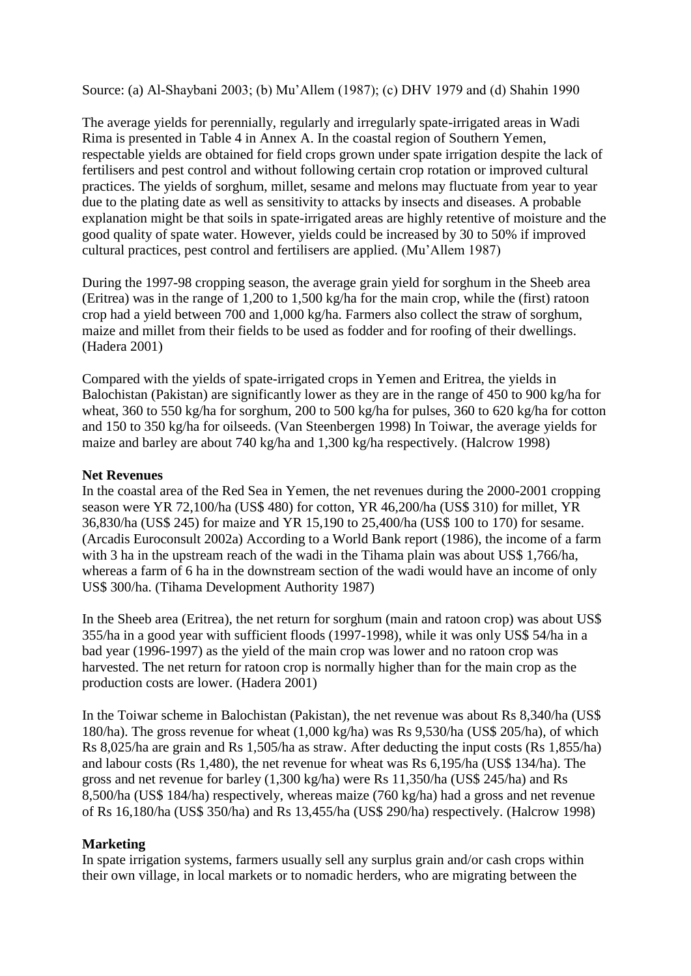Source: (a) Al-Shaybani 2003; (b) Mu'Allem (1987); (c) DHV 1979 and (d) Shahin 1990

The average yields for perennially, regularly and irregularly spate-irrigated areas in Wadi Rima is presented in Table 4 in Annex A. In the coastal region of Southern Yemen, respectable yields are obtained for field crops grown under spate irrigation despite the lack of fertilisers and pest control and without following certain crop rotation or improved cultural practices. The yields of sorghum, millet, sesame and melons may fluctuate from year to year due to the plating date as well as sensitivity to attacks by insects and diseases. A probable explanation might be that soils in spate-irrigated areas are highly retentive of moisture and the good quality of spate water. However, yields could be increased by 30 to 50% if improved cultural practices, pest control and fertilisers are applied. (Mu'Allem 1987)

During the 1997-98 cropping season, the average grain yield for sorghum in the Sheeb area (Eritrea) was in the range of 1,200 to 1,500 kg/ha for the main crop, while the (first) ratoon crop had a yield between 700 and 1,000 kg/ha. Farmers also collect the straw of sorghum, maize and millet from their fields to be used as fodder and for roofing of their dwellings. (Hadera 2001)

Compared with the yields of spate-irrigated crops in Yemen and Eritrea, the yields in Balochistan (Pakistan) are significantly lower as they are in the range of 450 to 900 kg/ha for wheat, 360 to 550 kg/ha for sorghum, 200 to 500 kg/ha for pulses, 360 to 620 kg/ha for cotton and 150 to 350 kg/ha for oilseeds. (Van Steenbergen 1998) In Toiwar, the average yields for maize and barley are about 740 kg/ha and 1,300 kg/ha respectively. (Halcrow 1998)

#### **Net Revenues**

In the coastal area of the Red Sea in Yemen, the net revenues during the 2000-2001 cropping season were YR 72,100/ha (US\$ 480) for cotton, YR 46,200/ha (US\$ 310) for millet, YR 36,830/ha (US\$ 245) for maize and YR 15,190 to 25,400/ha (US\$ 100 to 170) for sesame. (Arcadis Euroconsult 2002a) According to a World Bank report (1986), the income of a farm with 3 ha in the upstream reach of the wadi in the Tihama plain was about US\$ 1,766/ha, whereas a farm of 6 ha in the downstream section of the wadi would have an income of only US\$ 300/ha. (Tihama Development Authority 1987)

In the Sheeb area (Eritrea), the net return for sorghum (main and ratoon crop) was about US\$ 355/ha in a good year with sufficient floods (1997-1998), while it was only US\$ 54/ha in a bad year (1996-1997) as the yield of the main crop was lower and no ratoon crop was harvested. The net return for ratoon crop is normally higher than for the main crop as the production costs are lower. (Hadera 2001)

In the Toiwar scheme in Balochistan (Pakistan), the net revenue was about Rs 8,340/ha (US\$ 180/ha). The gross revenue for wheat (1,000 kg/ha) was Rs 9,530/ha (US\$ 205/ha), of which Rs 8,025/ha are grain and Rs 1,505/ha as straw. After deducting the input costs (Rs 1,855/ha) and labour costs (Rs 1,480), the net revenue for wheat was Rs 6,195/ha (US\$ 134/ha). The gross and net revenue for barley (1,300 kg/ha) were Rs 11,350/ha (US\$ 245/ha) and Rs 8,500/ha (US\$ 184/ha) respectively, whereas maize (760 kg/ha) had a gross and net revenue of Rs 16,180/ha (US\$ 350/ha) and Rs 13,455/ha (US\$ 290/ha) respectively. (Halcrow 1998)

### **Marketing**

In spate irrigation systems, farmers usually sell any surplus grain and/or cash crops within their own village, in local markets or to nomadic herders, who are migrating between the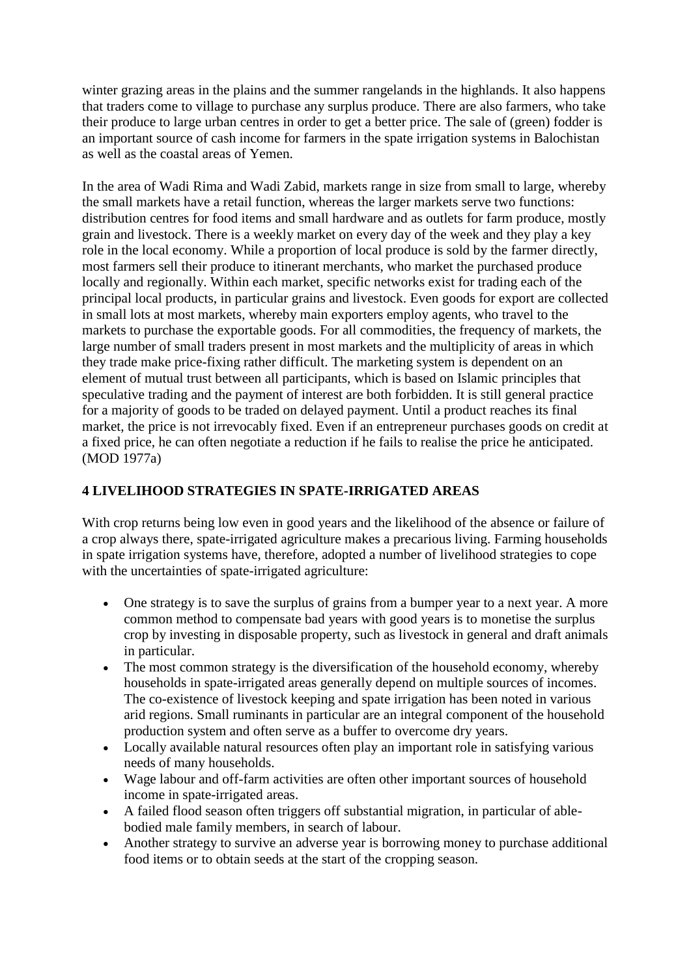winter grazing areas in the plains and the summer rangelands in the highlands. It also happens that traders come to village to purchase any surplus produce. There are also farmers, who take their produce to large urban centres in order to get a better price. The sale of (green) fodder is an important source of cash income for farmers in the spate irrigation systems in Balochistan as well as the coastal areas of Yemen.

In the area of Wadi Rima and Wadi Zabid, markets range in size from small to large, whereby the small markets have a retail function, whereas the larger markets serve two functions: distribution centres for food items and small hardware and as outlets for farm produce, mostly grain and livestock. There is a weekly market on every day of the week and they play a key role in the local economy. While a proportion of local produce is sold by the farmer directly, most farmers sell their produce to itinerant merchants, who market the purchased produce locally and regionally. Within each market, specific networks exist for trading each of the principal local products, in particular grains and livestock. Even goods for export are collected in small lots at most markets, whereby main exporters employ agents, who travel to the markets to purchase the exportable goods. For all commodities, the frequency of markets, the large number of small traders present in most markets and the multiplicity of areas in which they trade make price-fixing rather difficult. The marketing system is dependent on an element of mutual trust between all participants, which is based on Islamic principles that speculative trading and the payment of interest are both forbidden. It is still general practice for a majority of goods to be traded on delayed payment. Until a product reaches its final market, the price is not irrevocably fixed. Even if an entrepreneur purchases goods on credit at a fixed price, he can often negotiate a reduction if he fails to realise the price he anticipated. (MOD 1977a)

## **4 LIVELIHOOD STRATEGIES IN SPATE-IRRIGATED AREAS**

With crop returns being low even in good years and the likelihood of the absence or failure of a crop always there, spate-irrigated agriculture makes a precarious living. Farming households in spate irrigation systems have, therefore, adopted a number of livelihood strategies to cope with the uncertainties of spate-irrigated agriculture:

- One strategy is to save the surplus of grains from a bumper year to a next year. A more common method to compensate bad years with good years is to monetise the surplus crop by investing in disposable property, such as livestock in general and draft animals in particular.
- The most common strategy is the diversification of the household economy, whereby households in spate-irrigated areas generally depend on multiple sources of incomes. The co-existence of livestock keeping and spate irrigation has been noted in various arid regions. Small ruminants in particular are an integral component of the household production system and often serve as a buffer to overcome dry years.
- Locally available natural resources often play an important role in satisfying various needs of many households.
- Wage labour and off-farm activities are often other important sources of household income in spate-irrigated areas.
- A failed flood season often triggers off substantial migration, in particular of ablebodied male family members, in search of labour.
- Another strategy to survive an adverse year is borrowing money to purchase additional food items or to obtain seeds at the start of the cropping season.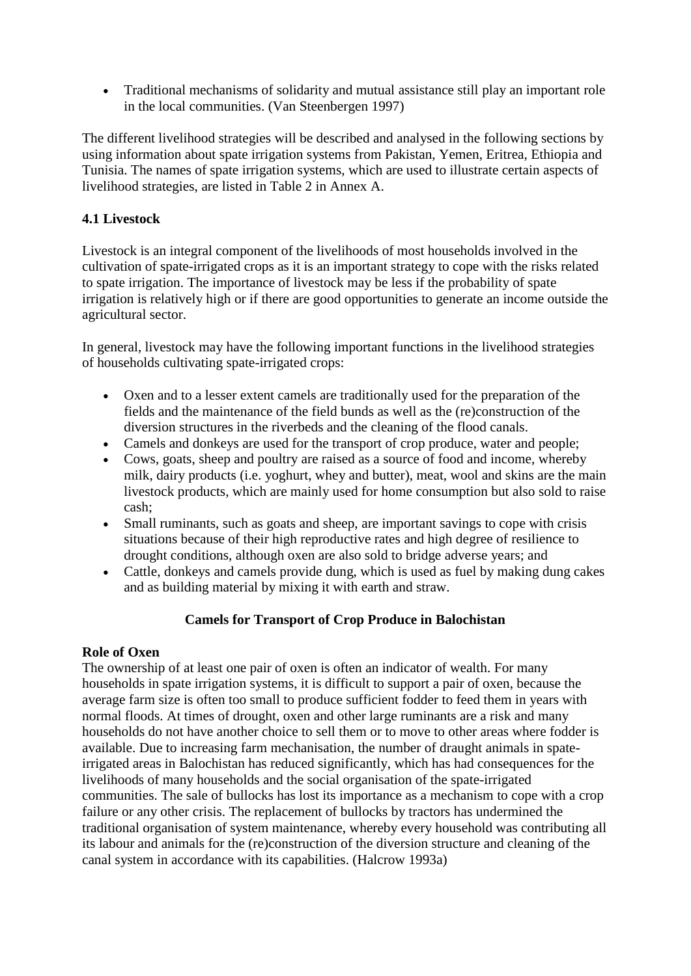Traditional mechanisms of solidarity and mutual assistance still play an important role in the local communities. (Van Steenbergen 1997)

The different livelihood strategies will be described and analysed in the following sections by using information about spate irrigation systems from Pakistan, Yemen, Eritrea, Ethiopia and Tunisia. The names of spate irrigation systems, which are used to illustrate certain aspects of livelihood strategies, are listed in Table 2 in Annex A.

### **4.1 Livestock**

Livestock is an integral component of the livelihoods of most households involved in the cultivation of spate-irrigated crops as it is an important strategy to cope with the risks related to spate irrigation. The importance of livestock may be less if the probability of spate irrigation is relatively high or if there are good opportunities to generate an income outside the agricultural sector.

In general, livestock may have the following important functions in the livelihood strategies of households cultivating spate-irrigated crops:

- Oxen and to a lesser extent camels are traditionally used for the preparation of the fields and the maintenance of the field bunds as well as the (re)construction of the diversion structures in the riverbeds and the cleaning of the flood canals.
- Camels and donkeys are used for the transport of crop produce, water and people;
- Cows, goats, sheep and poultry are raised as a source of food and income, whereby milk, dairy products (i.e. yoghurt, whey and butter), meat, wool and skins are the main livestock products, which are mainly used for home consumption but also sold to raise cash;
- Small ruminants, such as goats and sheep, are important savings to cope with crisis situations because of their high reproductive rates and high degree of resilience to drought conditions, although oxen are also sold to bridge adverse years; and
- Cattle, donkeys and camels provide dung, which is used as fuel by making dung cakes and as building material by mixing it with earth and straw.

### **Camels for Transport of Crop Produce in Balochistan**

### **Role of Oxen**

The ownership of at least one pair of oxen is often an indicator of wealth. For many households in spate irrigation systems, it is difficult to support a pair of oxen, because the average farm size is often too small to produce sufficient fodder to feed them in years with normal floods. At times of drought, oxen and other large ruminants are a risk and many households do not have another choice to sell them or to move to other areas where fodder is available. Due to increasing farm mechanisation, the number of draught animals in spateirrigated areas in Balochistan has reduced significantly, which has had consequences for the livelihoods of many households and the social organisation of the spate-irrigated communities. The sale of bullocks has lost its importance as a mechanism to cope with a crop failure or any other crisis. The replacement of bullocks by tractors has undermined the traditional organisation of system maintenance, whereby every household was contributing all its labour and animals for the (re)construction of the diversion structure and cleaning of the canal system in accordance with its capabilities. (Halcrow 1993a)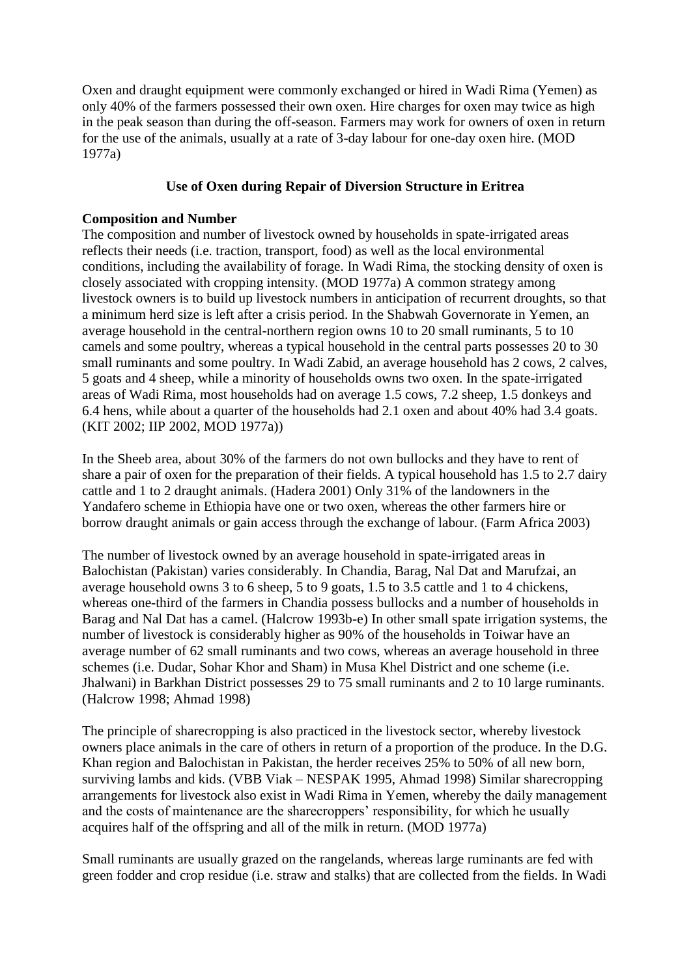Oxen and draught equipment were commonly exchanged or hired in Wadi Rima (Yemen) as only 40% of the farmers possessed their own oxen. Hire charges for oxen may twice as high in the peak season than during the off-season. Farmers may work for owners of oxen in return for the use of the animals, usually at a rate of 3-day labour for one-day oxen hire. (MOD 1977a)

#### **Use of Oxen during Repair of Diversion Structure in Eritrea**

#### **Composition and Number**

The composition and number of livestock owned by households in spate-irrigated areas reflects their needs (i.e. traction, transport, food) as well as the local environmental conditions, including the availability of forage. In Wadi Rima, the stocking density of oxen is closely associated with cropping intensity. (MOD 1977a) A common strategy among livestock owners is to build up livestock numbers in anticipation of recurrent droughts, so that a minimum herd size is left after a crisis period. In the Shabwah Governorate in Yemen, an average household in the central-northern region owns 10 to 20 small ruminants, 5 to 10 camels and some poultry, whereas a typical household in the central parts possesses 20 to 30 small ruminants and some poultry. In Wadi Zabid, an average household has 2 cows, 2 calves, 5 goats and 4 sheep, while a minority of households owns two oxen. In the spate-irrigated areas of Wadi Rima, most households had on average 1.5 cows, 7.2 sheep, 1.5 donkeys and 6.4 hens, while about a quarter of the households had 2.1 oxen and about 40% had 3.4 goats. (KIT 2002; IIP 2002, MOD 1977a))

In the Sheeb area, about 30% of the farmers do not own bullocks and they have to rent of share a pair of oxen for the preparation of their fields. A typical household has 1.5 to 2.7 dairy cattle and 1 to 2 draught animals. (Hadera 2001) Only 31% of the landowners in the Yandafero scheme in Ethiopia have one or two oxen, whereas the other farmers hire or borrow draught animals or gain access through the exchange of labour. (Farm Africa 2003)

The number of livestock owned by an average household in spate-irrigated areas in Balochistan (Pakistan) varies considerably. In Chandia, Barag, Nal Dat and Marufzai, an average household owns 3 to 6 sheep, 5 to 9 goats, 1.5 to 3.5 cattle and 1 to 4 chickens, whereas one-third of the farmers in Chandia possess bullocks and a number of households in Barag and Nal Dat has a camel. (Halcrow 1993b-e) In other small spate irrigation systems, the number of livestock is considerably higher as 90% of the households in Toiwar have an average number of 62 small ruminants and two cows, whereas an average household in three schemes (i.e. Dudar, Sohar Khor and Sham) in Musa Khel District and one scheme (i.e. Jhalwani) in Barkhan District possesses 29 to 75 small ruminants and 2 to 10 large ruminants. (Halcrow 1998; Ahmad 1998)

The principle of sharecropping is also practiced in the livestock sector, whereby livestock owners place animals in the care of others in return of a proportion of the produce. In the D.G. Khan region and Balochistan in Pakistan, the herder receives 25% to 50% of all new born, surviving lambs and kids. (VBB Viak – NESPAK 1995, Ahmad 1998) Similar sharecropping arrangements for livestock also exist in Wadi Rima in Yemen, whereby the daily management and the costs of maintenance are the sharecroppers' responsibility, for which he usually acquires half of the offspring and all of the milk in return. (MOD 1977a)

Small ruminants are usually grazed on the rangelands, whereas large ruminants are fed with green fodder and crop residue (i.e. straw and stalks) that are collected from the fields. In Wadi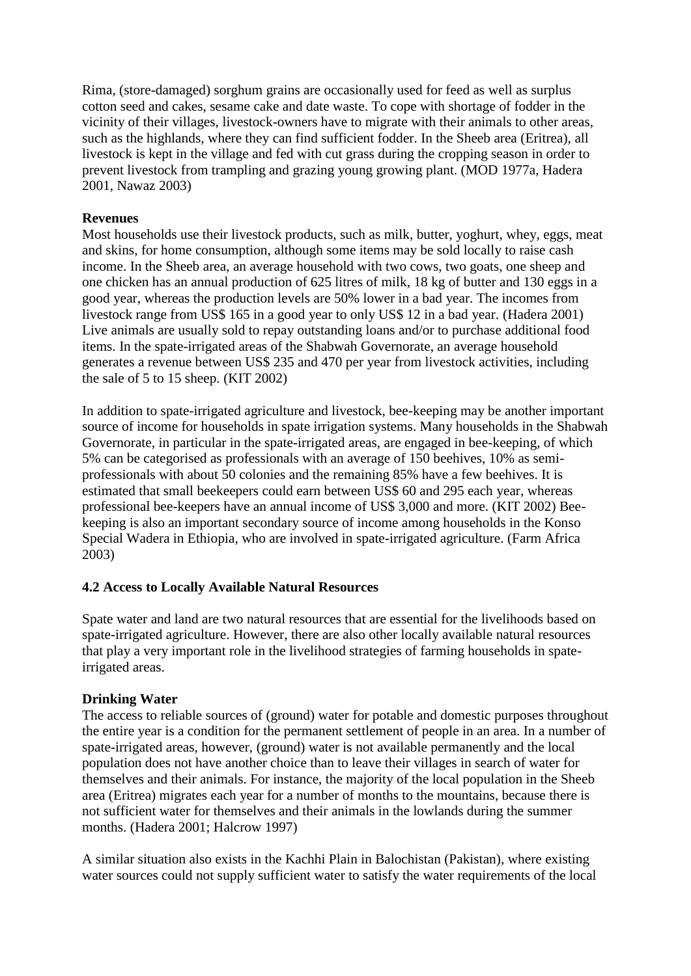Rima, (store-damaged) sorghum grains are occasionally used for feed as well as surplus cotton seed and cakes, sesame cake and date waste. To cope with shortage of fodder in the vicinity of their villages, livestock-owners have to migrate with their animals to other areas, such as the highlands, where they can find sufficient fodder. In the Sheeb area (Eritrea), all livestock is kept in the village and fed with cut grass during the cropping season in order to prevent livestock from trampling and grazing young growing plant. (MOD 1977a, Hadera 2001, Nawaz 2003)

### **Revenues**

Most households use their livestock products, such as milk, butter, yoghurt, whey, eggs, meat and skins, for home consumption, although some items may be sold locally to raise cash income. In the Sheeb area, an average household with two cows, two goats, one sheep and one chicken has an annual production of 625 litres of milk, 18 kg of butter and 130 eggs in a good year, whereas the production levels are 50% lower in a bad year. The incomes from livestock range from US\$ 165 in a good year to only US\$ 12 in a bad year. (Hadera 2001) Live animals are usually sold to repay outstanding loans and/or to purchase additional food items. In the spate-irrigated areas of the Shabwah Governorate, an average household generates a revenue between US\$ 235 and 470 per year from livestock activities, including the sale of 5 to 15 sheep. (KIT 2002)

In addition to spate-irrigated agriculture and livestock, bee-keeping may be another important source of income for households in spate irrigation systems. Many households in the Shabwah Governorate, in particular in the spate-irrigated areas, are engaged in bee-keeping, of which 5% can be categorised as professionals with an average of 150 beehives, 10% as semiprofessionals with about 50 colonies and the remaining 85% have a few beehives. It is estimated that small beekeepers could earn between US\$ 60 and 295 each year, whereas professional bee-keepers have an annual income of US\$ 3,000 and more. (KIT 2002) Beekeeping is also an important secondary source of income among households in the Konso Special Wadera in Ethiopia, who are involved in spate-irrigated agriculture. (Farm Africa 2003)

### **4.2 Access to Locally Available Natural Resources**

Spate water and land are two natural resources that are essential for the livelihoods based on spate-irrigated agriculture. However, there are also other locally available natural resources that play a very important role in the livelihood strategies of farming households in spateirrigated areas.

### **Drinking Water**

The access to reliable sources of (ground) water for potable and domestic purposes throughout the entire year is a condition for the permanent settlement of people in an area. In a number of spate-irrigated areas, however, (ground) water is not available permanently and the local population does not have another choice than to leave their villages in search of water for themselves and their animals. For instance, the majority of the local population in the Sheeb area (Eritrea) migrates each year for a number of months to the mountains, because there is not sufficient water for themselves and their animals in the lowlands during the summer months. (Hadera 2001; Halcrow 1997)

A similar situation also exists in the Kachhi Plain in Balochistan (Pakistan), where existing water sources could not supply sufficient water to satisfy the water requirements of the local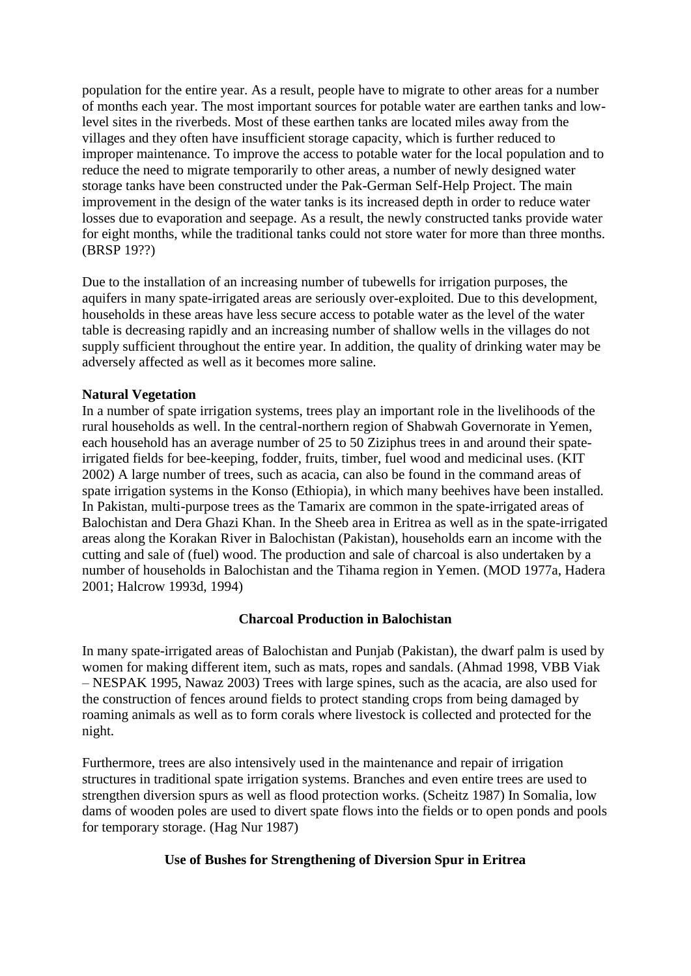population for the entire year. As a result, people have to migrate to other areas for a number of months each year. The most important sources for potable water are earthen tanks and lowlevel sites in the riverbeds. Most of these earthen tanks are located miles away from the villages and they often have insufficient storage capacity, which is further reduced to improper maintenance. To improve the access to potable water for the local population and to reduce the need to migrate temporarily to other areas, a number of newly designed water storage tanks have been constructed under the Pak-German Self-Help Project. The main improvement in the design of the water tanks is its increased depth in order to reduce water losses due to evaporation and seepage. As a result, the newly constructed tanks provide water for eight months, while the traditional tanks could not store water for more than three months. (BRSP 19??)

Due to the installation of an increasing number of tubewells for irrigation purposes, the aquifers in many spate-irrigated areas are seriously over-exploited. Due to this development, households in these areas have less secure access to potable water as the level of the water table is decreasing rapidly and an increasing number of shallow wells in the villages do not supply sufficient throughout the entire year. In addition, the quality of drinking water may be adversely affected as well as it becomes more saline.

#### **Natural Vegetation**

In a number of spate irrigation systems, trees play an important role in the livelihoods of the rural households as well. In the central-northern region of Shabwah Governorate in Yemen, each household has an average number of 25 to 50 Ziziphus trees in and around their spateirrigated fields for bee-keeping, fodder, fruits, timber, fuel wood and medicinal uses. (KIT 2002) A large number of trees, such as acacia, can also be found in the command areas of spate irrigation systems in the Konso (Ethiopia), in which many beehives have been installed. In Pakistan, multi-purpose trees as the Tamarix are common in the spate-irrigated areas of Balochistan and Dera Ghazi Khan. In the Sheeb area in Eritrea as well as in the spate-irrigated areas along the Korakan River in Balochistan (Pakistan), households earn an income with the cutting and sale of (fuel) wood. The production and sale of charcoal is also undertaken by a number of households in Balochistan and the Tihama region in Yemen. (MOD 1977a, Hadera 2001; Halcrow 1993d, 1994)

#### **Charcoal Production in Balochistan**

In many spate-irrigated areas of Balochistan and Punjab (Pakistan), the dwarf palm is used by women for making different item, such as mats, ropes and sandals. (Ahmad 1998, VBB Viak – NESPAK 1995, Nawaz 2003) Trees with large spines, such as the acacia, are also used for the construction of fences around fields to protect standing crops from being damaged by roaming animals as well as to form corals where livestock is collected and protected for the night.

Furthermore, trees are also intensively used in the maintenance and repair of irrigation structures in traditional spate irrigation systems. Branches and even entire trees are used to strengthen diversion spurs as well as flood protection works. (Scheitz 1987) In Somalia, low dams of wooden poles are used to divert spate flows into the fields or to open ponds and pools for temporary storage. (Hag Nur 1987)

### **Use of Bushes for Strengthening of Diversion Spur in Eritrea**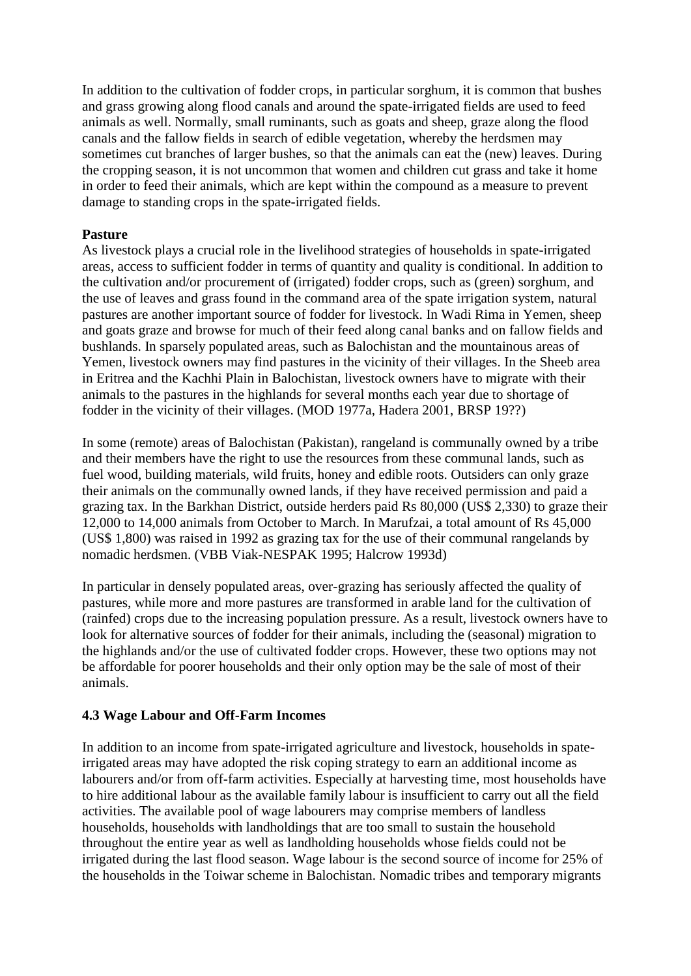In addition to the cultivation of fodder crops, in particular sorghum, it is common that bushes and grass growing along flood canals and around the spate-irrigated fields are used to feed animals as well. Normally, small ruminants, such as goats and sheep, graze along the flood canals and the fallow fields in search of edible vegetation, whereby the herdsmen may sometimes cut branches of larger bushes, so that the animals can eat the (new) leaves. During the cropping season, it is not uncommon that women and children cut grass and take it home in order to feed their animals, which are kept within the compound as a measure to prevent damage to standing crops in the spate-irrigated fields.

#### **Pasture**

As livestock plays a crucial role in the livelihood strategies of households in spate-irrigated areas, access to sufficient fodder in terms of quantity and quality is conditional. In addition to the cultivation and/or procurement of (irrigated) fodder crops, such as (green) sorghum, and the use of leaves and grass found in the command area of the spate irrigation system, natural pastures are another important source of fodder for livestock. In Wadi Rima in Yemen, sheep and goats graze and browse for much of their feed along canal banks and on fallow fields and bushlands. In sparsely populated areas, such as Balochistan and the mountainous areas of Yemen, livestock owners may find pastures in the vicinity of their villages. In the Sheeb area in Eritrea and the Kachhi Plain in Balochistan, livestock owners have to migrate with their animals to the pastures in the highlands for several months each year due to shortage of fodder in the vicinity of their villages. (MOD 1977a, Hadera 2001, BRSP 19??)

In some (remote) areas of Balochistan (Pakistan), rangeland is communally owned by a tribe and their members have the right to use the resources from these communal lands, such as fuel wood, building materials, wild fruits, honey and edible roots. Outsiders can only graze their animals on the communally owned lands, if they have received permission and paid a grazing tax. In the Barkhan District, outside herders paid Rs 80,000 (US\$ 2,330) to graze their 12,000 to 14,000 animals from October to March. In Marufzai, a total amount of Rs 45,000 (US\$ 1,800) was raised in 1992 as grazing tax for the use of their communal rangelands by nomadic herdsmen. (VBB Viak-NESPAK 1995; Halcrow 1993d)

In particular in densely populated areas, over-grazing has seriously affected the quality of pastures, while more and more pastures are transformed in arable land for the cultivation of (rainfed) crops due to the increasing population pressure. As a result, livestock owners have to look for alternative sources of fodder for their animals, including the (seasonal) migration to the highlands and/or the use of cultivated fodder crops. However, these two options may not be affordable for poorer households and their only option may be the sale of most of their animals.

### **4.3 Wage Labour and Off-Farm Incomes**

In addition to an income from spate-irrigated agriculture and livestock, households in spateirrigated areas may have adopted the risk coping strategy to earn an additional income as labourers and/or from off-farm activities. Especially at harvesting time, most households have to hire additional labour as the available family labour is insufficient to carry out all the field activities. The available pool of wage labourers may comprise members of landless households, households with landholdings that are too small to sustain the household throughout the entire year as well as landholding households whose fields could not be irrigated during the last flood season. Wage labour is the second source of income for 25% of the households in the Toiwar scheme in Balochistan. Nomadic tribes and temporary migrants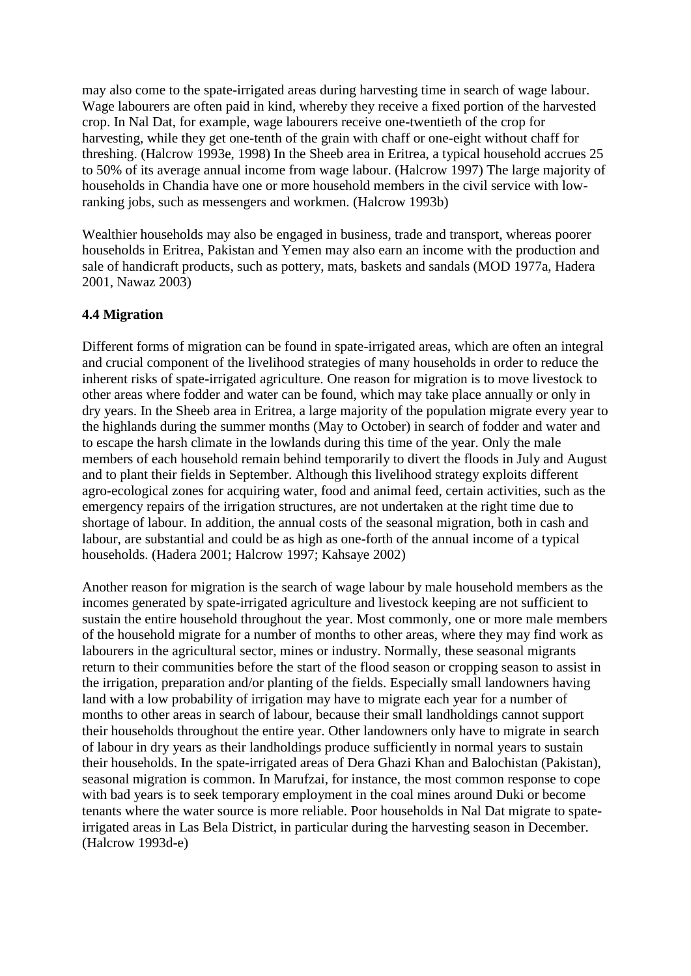may also come to the spate-irrigated areas during harvesting time in search of wage labour. Wage labourers are often paid in kind, whereby they receive a fixed portion of the harvested crop. In Nal Dat, for example, wage labourers receive one-twentieth of the crop for harvesting, while they get one-tenth of the grain with chaff or one-eight without chaff for threshing. (Halcrow 1993e, 1998) In the Sheeb area in Eritrea, a typical household accrues 25 to 50% of its average annual income from wage labour. (Halcrow 1997) The large majority of households in Chandia have one or more household members in the civil service with lowranking jobs, such as messengers and workmen. (Halcrow 1993b)

Wealthier households may also be engaged in business, trade and transport, whereas poorer households in Eritrea, Pakistan and Yemen may also earn an income with the production and sale of handicraft products, such as pottery, mats, baskets and sandals (MOD 1977a, Hadera 2001, Nawaz 2003)

### **4.4 Migration**

Different forms of migration can be found in spate-irrigated areas, which are often an integral and crucial component of the livelihood strategies of many households in order to reduce the inherent risks of spate-irrigated agriculture. One reason for migration is to move livestock to other areas where fodder and water can be found, which may take place annually or only in dry years. In the Sheeb area in Eritrea, a large majority of the population migrate every year to the highlands during the summer months (May to October) in search of fodder and water and to escape the harsh climate in the lowlands during this time of the year. Only the male members of each household remain behind temporarily to divert the floods in July and August and to plant their fields in September. Although this livelihood strategy exploits different agro-ecological zones for acquiring water, food and animal feed, certain activities, such as the emergency repairs of the irrigation structures, are not undertaken at the right time due to shortage of labour. In addition, the annual costs of the seasonal migration, both in cash and labour, are substantial and could be as high as one-forth of the annual income of a typical households. (Hadera 2001; Halcrow 1997; Kahsaye 2002)

Another reason for migration is the search of wage labour by male household members as the incomes generated by spate-irrigated agriculture and livestock keeping are not sufficient to sustain the entire household throughout the year. Most commonly, one or more male members of the household migrate for a number of months to other areas, where they may find work as labourers in the agricultural sector, mines or industry. Normally, these seasonal migrants return to their communities before the start of the flood season or cropping season to assist in the irrigation, preparation and/or planting of the fields. Especially small landowners having land with a low probability of irrigation may have to migrate each year for a number of months to other areas in search of labour, because their small landholdings cannot support their households throughout the entire year. Other landowners only have to migrate in search of labour in dry years as their landholdings produce sufficiently in normal years to sustain their households. In the spate-irrigated areas of Dera Ghazi Khan and Balochistan (Pakistan), seasonal migration is common. In Marufzai, for instance, the most common response to cope with bad years is to seek temporary employment in the coal mines around Duki or become tenants where the water source is more reliable. Poor households in Nal Dat migrate to spateirrigated areas in Las Bela District, in particular during the harvesting season in December. (Halcrow 1993d-e)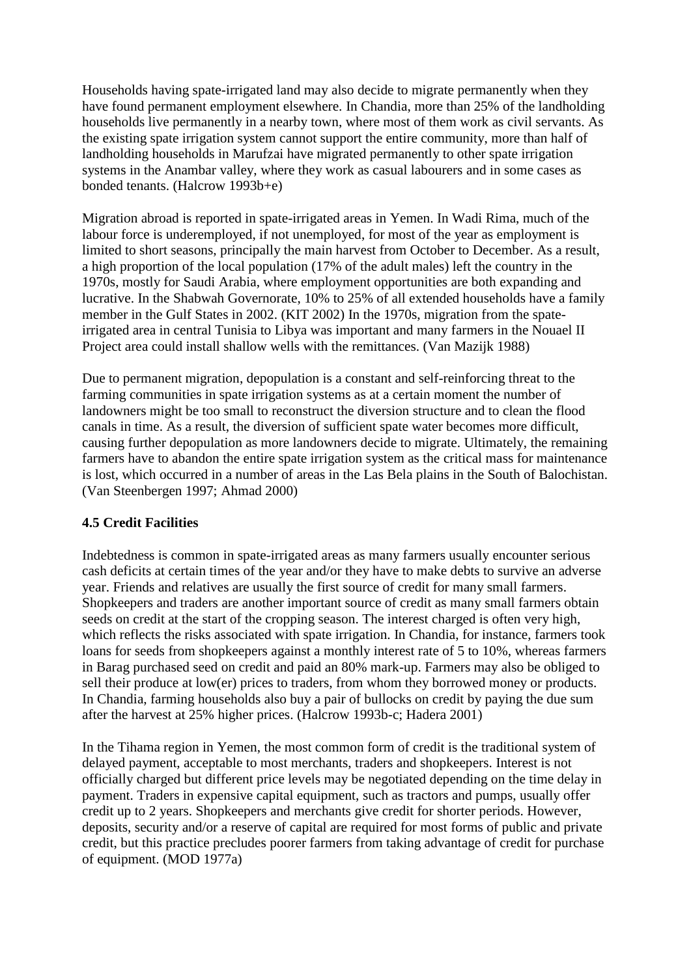Households having spate-irrigated land may also decide to migrate permanently when they have found permanent employment elsewhere. In Chandia, more than 25% of the landholding households live permanently in a nearby town, where most of them work as civil servants. As the existing spate irrigation system cannot support the entire community, more than half of landholding households in Marufzai have migrated permanently to other spate irrigation systems in the Anambar valley, where they work as casual labourers and in some cases as bonded tenants. (Halcrow 1993b+e)

Migration abroad is reported in spate-irrigated areas in Yemen. In Wadi Rima, much of the labour force is underemployed, if not unemployed, for most of the year as employment is limited to short seasons, principally the main harvest from October to December. As a result, a high proportion of the local population (17% of the adult males) left the country in the 1970s, mostly for Saudi Arabia, where employment opportunities are both expanding and lucrative. In the Shabwah Governorate, 10% to 25% of all extended households have a family member in the Gulf States in 2002. (KIT 2002) In the 1970s, migration from the spateirrigated area in central Tunisia to Libya was important and many farmers in the Nouael II Project area could install shallow wells with the remittances. (Van Mazijk 1988)

Due to permanent migration, depopulation is a constant and self-reinforcing threat to the farming communities in spate irrigation systems as at a certain moment the number of landowners might be too small to reconstruct the diversion structure and to clean the flood canals in time. As a result, the diversion of sufficient spate water becomes more difficult, causing further depopulation as more landowners decide to migrate. Ultimately, the remaining farmers have to abandon the entire spate irrigation system as the critical mass for maintenance is lost, which occurred in a number of areas in the Las Bela plains in the South of Balochistan. (Van Steenbergen 1997; Ahmad 2000)

### **4.5 Credit Facilities**

Indebtedness is common in spate-irrigated areas as many farmers usually encounter serious cash deficits at certain times of the year and/or they have to make debts to survive an adverse year. Friends and relatives are usually the first source of credit for many small farmers. Shopkeepers and traders are another important source of credit as many small farmers obtain seeds on credit at the start of the cropping season. The interest charged is often very high, which reflects the risks associated with spate irrigation. In Chandia, for instance, farmers took loans for seeds from shopkeepers against a monthly interest rate of 5 to 10%, whereas farmers in Barag purchased seed on credit and paid an 80% mark-up. Farmers may also be obliged to sell their produce at low(er) prices to traders, from whom they borrowed money or products. In Chandia, farming households also buy a pair of bullocks on credit by paying the due sum after the harvest at 25% higher prices. (Halcrow 1993b-c; Hadera 2001)

In the Tihama region in Yemen, the most common form of credit is the traditional system of delayed payment, acceptable to most merchants, traders and shopkeepers. Interest is not officially charged but different price levels may be negotiated depending on the time delay in payment. Traders in expensive capital equipment, such as tractors and pumps, usually offer credit up to 2 years. Shopkeepers and merchants give credit for shorter periods. However, deposits, security and/or a reserve of capital are required for most forms of public and private credit, but this practice precludes poorer farmers from taking advantage of credit for purchase of equipment. (MOD 1977a)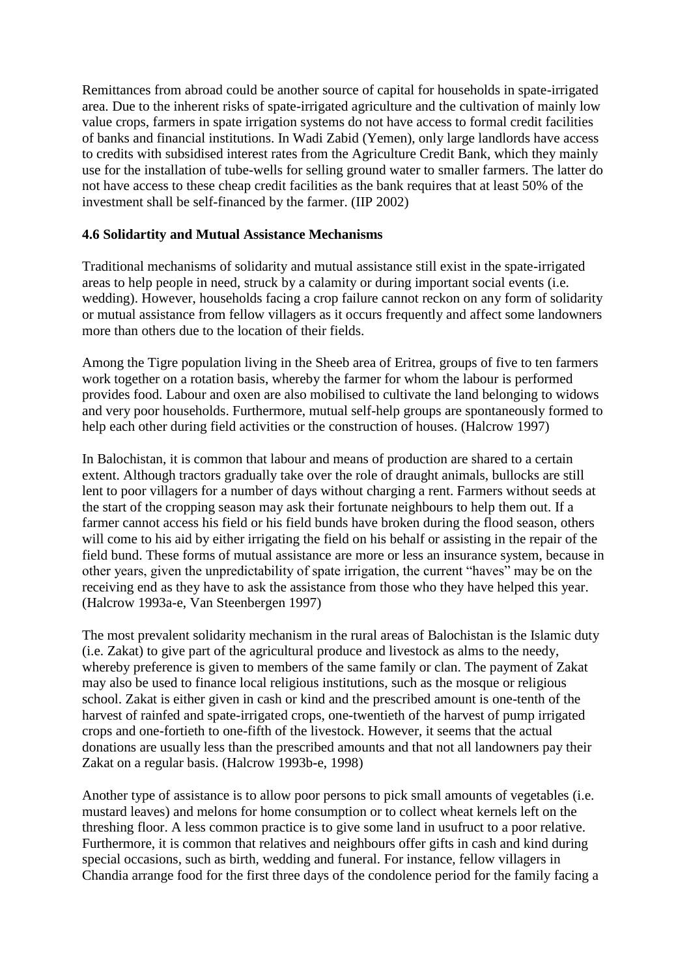Remittances from abroad could be another source of capital for households in spate-irrigated area. Due to the inherent risks of spate-irrigated agriculture and the cultivation of mainly low value crops, farmers in spate irrigation systems do not have access to formal credit facilities of banks and financial institutions. In Wadi Zabid (Yemen), only large landlords have access to credits with subsidised interest rates from the Agriculture Credit Bank, which they mainly use for the installation of tube-wells for selling ground water to smaller farmers. The latter do not have access to these cheap credit facilities as the bank requires that at least 50% of the investment shall be self-financed by the farmer. (IIP 2002)

#### **4.6 Solidartity and Mutual Assistance Mechanisms**

Traditional mechanisms of solidarity and mutual assistance still exist in the spate-irrigated areas to help people in need, struck by a calamity or during important social events (i.e. wedding). However, households facing a crop failure cannot reckon on any form of solidarity or mutual assistance from fellow villagers as it occurs frequently and affect some landowners more than others due to the location of their fields.

Among the Tigre population living in the Sheeb area of Eritrea, groups of five to ten farmers work together on a rotation basis, whereby the farmer for whom the labour is performed provides food. Labour and oxen are also mobilised to cultivate the land belonging to widows and very poor households. Furthermore, mutual self-help groups are spontaneously formed to help each other during field activities or the construction of houses. (Halcrow 1997)

In Balochistan, it is common that labour and means of production are shared to a certain extent. Although tractors gradually take over the role of draught animals, bullocks are still lent to poor villagers for a number of days without charging a rent. Farmers without seeds at the start of the cropping season may ask their fortunate neighbours to help them out. If a farmer cannot access his field or his field bunds have broken during the flood season, others will come to his aid by either irrigating the field on his behalf or assisting in the repair of the field bund. These forms of mutual assistance are more or less an insurance system, because in other years, given the unpredictability of spate irrigation, the current "haves" may be on the receiving end as they have to ask the assistance from those who they have helped this year. (Halcrow 1993a-e, Van Steenbergen 1997)

The most prevalent solidarity mechanism in the rural areas of Balochistan is the Islamic duty (i.e. Zakat) to give part of the agricultural produce and livestock as alms to the needy, whereby preference is given to members of the same family or clan. The payment of Zakat may also be used to finance local religious institutions, such as the mosque or religious school. Zakat is either given in cash or kind and the prescribed amount is one-tenth of the harvest of rainfed and spate-irrigated crops, one-twentieth of the harvest of pump irrigated crops and one-fortieth to one-fifth of the livestock. However, it seems that the actual donations are usually less than the prescribed amounts and that not all landowners pay their Zakat on a regular basis. (Halcrow 1993b-e, 1998)

Another type of assistance is to allow poor persons to pick small amounts of vegetables (i.e. mustard leaves) and melons for home consumption or to collect wheat kernels left on the threshing floor. A less common practice is to give some land in usufruct to a poor relative. Furthermore, it is common that relatives and neighbours offer gifts in cash and kind during special occasions, such as birth, wedding and funeral. For instance, fellow villagers in Chandia arrange food for the first three days of the condolence period for the family facing a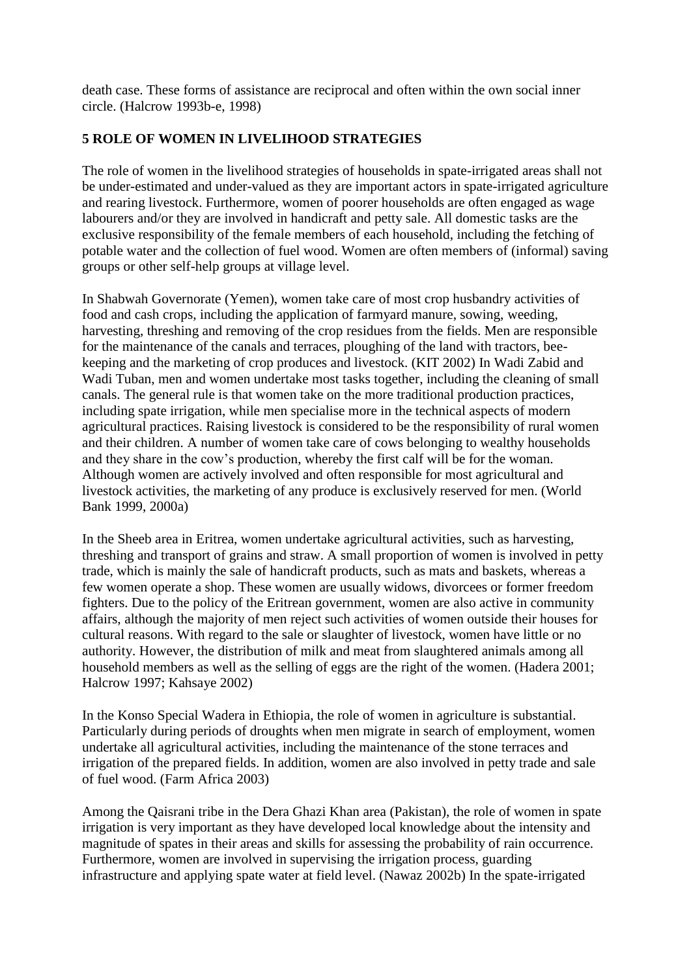death case. These forms of assistance are reciprocal and often within the own social inner circle. (Halcrow 1993b-e, 1998)

## **5 ROLE OF WOMEN IN LIVELIHOOD STRATEGIES**

The role of women in the livelihood strategies of households in spate-irrigated areas shall not be under-estimated and under-valued as they are important actors in spate-irrigated agriculture and rearing livestock. Furthermore, women of poorer households are often engaged as wage labourers and/or they are involved in handicraft and petty sale. All domestic tasks are the exclusive responsibility of the female members of each household, including the fetching of potable water and the collection of fuel wood. Women are often members of (informal) saving groups or other self-help groups at village level.

In Shabwah Governorate (Yemen), women take care of most crop husbandry activities of food and cash crops, including the application of farmyard manure, sowing, weeding, harvesting, threshing and removing of the crop residues from the fields. Men are responsible for the maintenance of the canals and terraces, ploughing of the land with tractors, beekeeping and the marketing of crop produces and livestock. (KIT 2002) In Wadi Zabid and Wadi Tuban, men and women undertake most tasks together, including the cleaning of small canals. The general rule is that women take on the more traditional production practices, including spate irrigation, while men specialise more in the technical aspects of modern agricultural practices. Raising livestock is considered to be the responsibility of rural women and their children. A number of women take care of cows belonging to wealthy households and they share in the cow's production, whereby the first calf will be for the woman. Although women are actively involved and often responsible for most agricultural and livestock activities, the marketing of any produce is exclusively reserved for men. (World Bank 1999, 2000a)

In the Sheeb area in Eritrea, women undertake agricultural activities, such as harvesting, threshing and transport of grains and straw. A small proportion of women is involved in petty trade, which is mainly the sale of handicraft products, such as mats and baskets, whereas a few women operate a shop. These women are usually widows, divorcees or former freedom fighters. Due to the policy of the Eritrean government, women are also active in community affairs, although the majority of men reject such activities of women outside their houses for cultural reasons. With regard to the sale or slaughter of livestock, women have little or no authority. However, the distribution of milk and meat from slaughtered animals among all household members as well as the selling of eggs are the right of the women. (Hadera 2001; Halcrow 1997; Kahsaye 2002)

In the Konso Special Wadera in Ethiopia, the role of women in agriculture is substantial. Particularly during periods of droughts when men migrate in search of employment, women undertake all agricultural activities, including the maintenance of the stone terraces and irrigation of the prepared fields. In addition, women are also involved in petty trade and sale of fuel wood. (Farm Africa 2003)

Among the Qaisrani tribe in the Dera Ghazi Khan area (Pakistan), the role of women in spate irrigation is very important as they have developed local knowledge about the intensity and magnitude of spates in their areas and skills for assessing the probability of rain occurrence. Furthermore, women are involved in supervising the irrigation process, guarding infrastructure and applying spate water at field level. (Nawaz 2002b) In the spate-irrigated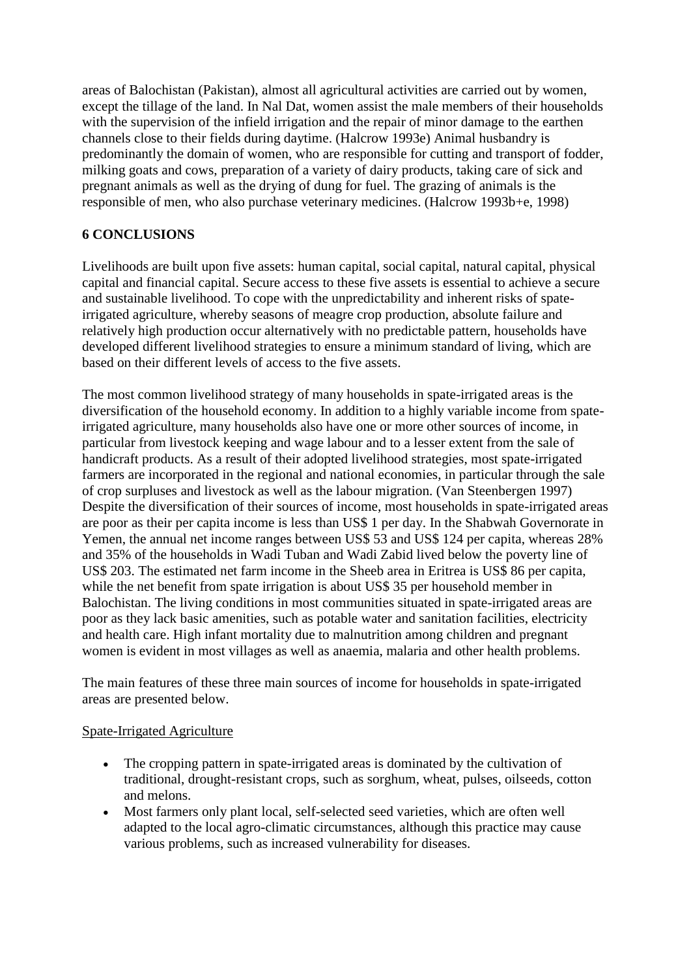areas of Balochistan (Pakistan), almost all agricultural activities are carried out by women, except the tillage of the land. In Nal Dat, women assist the male members of their households with the supervision of the infield irrigation and the repair of minor damage to the earthen channels close to their fields during daytime. (Halcrow 1993e) Animal husbandry is predominantly the domain of women, who are responsible for cutting and transport of fodder, milking goats and cows, preparation of a variety of dairy products, taking care of sick and pregnant animals as well as the drying of dung for fuel. The grazing of animals is the responsible of men, who also purchase veterinary medicines. (Halcrow 1993b+e, 1998)

### **6 CONCLUSIONS**

Livelihoods are built upon five assets: human capital, social capital, natural capital, physical capital and financial capital. Secure access to these five assets is essential to achieve a secure and sustainable livelihood. To cope with the unpredictability and inherent risks of spateirrigated agriculture, whereby seasons of meagre crop production, absolute failure and relatively high production occur alternatively with no predictable pattern, households have developed different livelihood strategies to ensure a minimum standard of living, which are based on their different levels of access to the five assets.

The most common livelihood strategy of many households in spate-irrigated areas is the diversification of the household economy. In addition to a highly variable income from spateirrigated agriculture, many households also have one or more other sources of income, in particular from livestock keeping and wage labour and to a lesser extent from the sale of handicraft products. As a result of their adopted livelihood strategies, most spate-irrigated farmers are incorporated in the regional and national economies, in particular through the sale of crop surpluses and livestock as well as the labour migration. (Van Steenbergen 1997) Despite the diversification of their sources of income, most households in spate-irrigated areas are poor as their per capita income is less than US\$ 1 per day. In the Shabwah Governorate in Yemen, the annual net income ranges between US\$ 53 and US\$ 124 per capita, whereas 28% and 35% of the households in Wadi Tuban and Wadi Zabid lived below the poverty line of US\$ 203. The estimated net farm income in the Sheeb area in Eritrea is US\$ 86 per capita, while the net benefit from spate irrigation is about US\$ 35 per household member in Balochistan. The living conditions in most communities situated in spate-irrigated areas are poor as they lack basic amenities, such as potable water and sanitation facilities, electricity and health care. High infant mortality due to malnutrition among children and pregnant women is evident in most villages as well as anaemia, malaria and other health problems.

The main features of these three main sources of income for households in spate-irrigated areas are presented below.

### Spate-Irrigated Agriculture

- The cropping pattern in spate-irrigated areas is dominated by the cultivation of traditional, drought-resistant crops, such as sorghum, wheat, pulses, oilseeds, cotton and melons.
- Most farmers only plant local, self-selected seed varieties, which are often well adapted to the local agro-climatic circumstances, although this practice may cause various problems, such as increased vulnerability for diseases.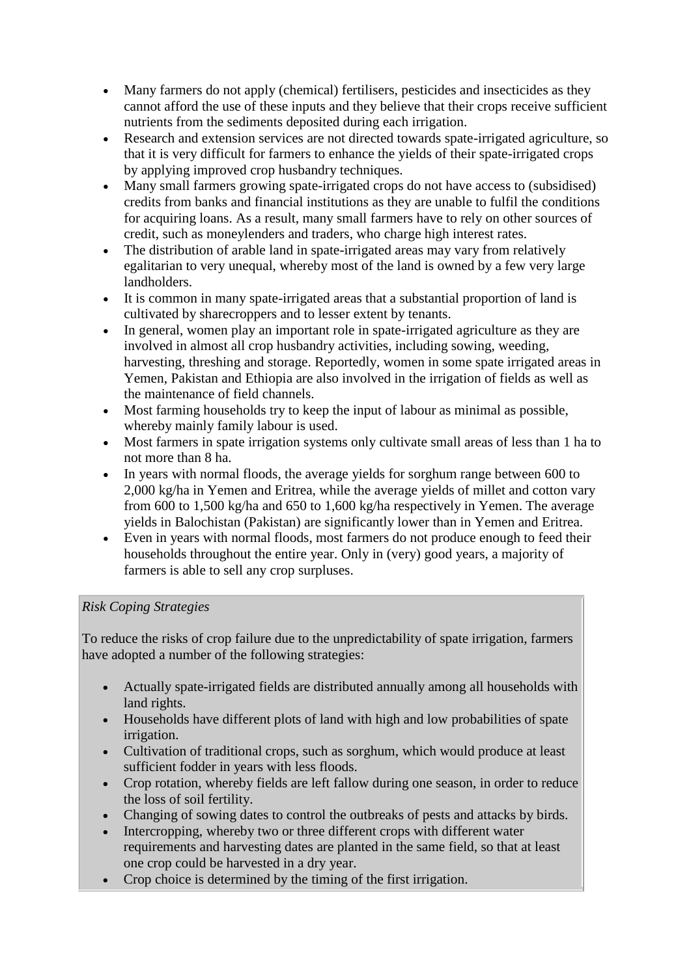- Many farmers do not apply (chemical) fertilisers, pesticides and insecticides as they cannot afford the use of these inputs and they believe that their crops receive sufficient nutrients from the sediments deposited during each irrigation.
- Research and extension services are not directed towards spate-irrigated agriculture, so that it is very difficult for farmers to enhance the yields of their spate-irrigated crops by applying improved crop husbandry techniques.
- Many small farmers growing spate-irrigated crops do not have access to (subsidised) credits from banks and financial institutions as they are unable to fulfil the conditions for acquiring loans. As a result, many small farmers have to rely on other sources of credit, such as moneylenders and traders, who charge high interest rates.
- The distribution of arable land in spate-irrigated areas may vary from relatively egalitarian to very unequal, whereby most of the land is owned by a few very large landholders.
- It is common in many spate-irrigated areas that a substantial proportion of land is cultivated by sharecroppers and to lesser extent by tenants.
- In general, women play an important role in spate-irrigated agriculture as they are involved in almost all crop husbandry activities, including sowing, weeding, harvesting, threshing and storage. Reportedly, women in some spate irrigated areas in Yemen, Pakistan and Ethiopia are also involved in the irrigation of fields as well as the maintenance of field channels.
- Most farming households try to keep the input of labour as minimal as possible, whereby mainly family labour is used.
- Most farmers in spate irrigation systems only cultivate small areas of less than 1 ha to not more than 8 ha.
- In years with normal floods, the average yields for sorghum range between 600 to 2,000 kg/ha in Yemen and Eritrea, while the average yields of millet and cotton vary from 600 to 1,500 kg/ha and 650 to 1,600 kg/ha respectively in Yemen. The average yields in Balochistan (Pakistan) are significantly lower than in Yemen and Eritrea.
- Even in years with normal floods, most farmers do not produce enough to feed their households throughout the entire year. Only in (very) good years, a majority of farmers is able to sell any crop surpluses.

## *Risk Coping Strategies*

To reduce the risks of crop failure due to the unpredictability of spate irrigation, farmers have adopted a number of the following strategies:

- Actually spate-irrigated fields are distributed annually among all households with land rights.
- Households have different plots of land with high and low probabilities of spate irrigation.
- Cultivation of traditional crops, such as sorghum, which would produce at least sufficient fodder in years with less floods.
- Crop rotation, whereby fields are left fallow during one season, in order to reduce the loss of soil fertility.
- Changing of sowing dates to control the outbreaks of pests and attacks by birds.
- Intercropping, whereby two or three different crops with different water requirements and harvesting dates are planted in the same field, so that at least one crop could be harvested in a dry year.
- Crop choice is determined by the timing of the first irrigation.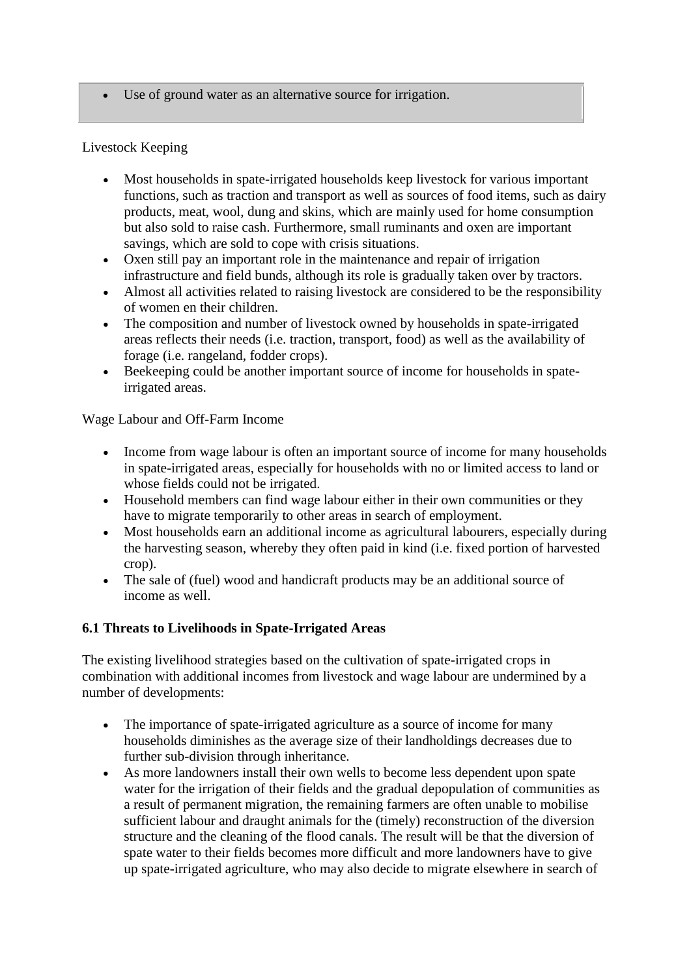Use of ground water as an alternative source for irrigation.

### Livestock Keeping

- Most households in spate-irrigated households keep livestock for various important functions, such as traction and transport as well as sources of food items, such as dairy products, meat, wool, dung and skins, which are mainly used for home consumption but also sold to raise cash. Furthermore, small ruminants and oxen are important savings, which are sold to cope with crisis situations.
- Oxen still pay an important role in the maintenance and repair of irrigation infrastructure and field bunds, although its role is gradually taken over by tractors.
- Almost all activities related to raising livestock are considered to be the responsibility of women en their children.
- The composition and number of livestock owned by households in spate-irrigated areas reflects their needs (i.e. traction, transport, food) as well as the availability of forage (i.e. rangeland, fodder crops).
- Beekeeping could be another important source of income for households in spateirrigated areas.

### Wage Labour and Off-Farm Income

- Income from wage labour is often an important source of income for many households in spate-irrigated areas, especially for households with no or limited access to land or whose fields could not be irrigated.
- Household members can find wage labour either in their own communities or they have to migrate temporarily to other areas in search of employment.
- Most households earn an additional income as agricultural labourers, especially during the harvesting season, whereby they often paid in kind (i.e. fixed portion of harvested crop).
- The sale of (fuel) wood and handicraft products may be an additional source of income as well.

### **6.1 Threats to Livelihoods in Spate-Irrigated Areas**

The existing livelihood strategies based on the cultivation of spate-irrigated crops in combination with additional incomes from livestock and wage labour are undermined by a number of developments:

- The importance of spate-irrigated agriculture as a source of income for many households diminishes as the average size of their landholdings decreases due to further sub-division through inheritance.
- As more landowners install their own wells to become less dependent upon spate water for the irrigation of their fields and the gradual depopulation of communities as a result of permanent migration, the remaining farmers are often unable to mobilise sufficient labour and draught animals for the (timely) reconstruction of the diversion structure and the cleaning of the flood canals. The result will be that the diversion of spate water to their fields becomes more difficult and more landowners have to give up spate-irrigated agriculture, who may also decide to migrate elsewhere in search of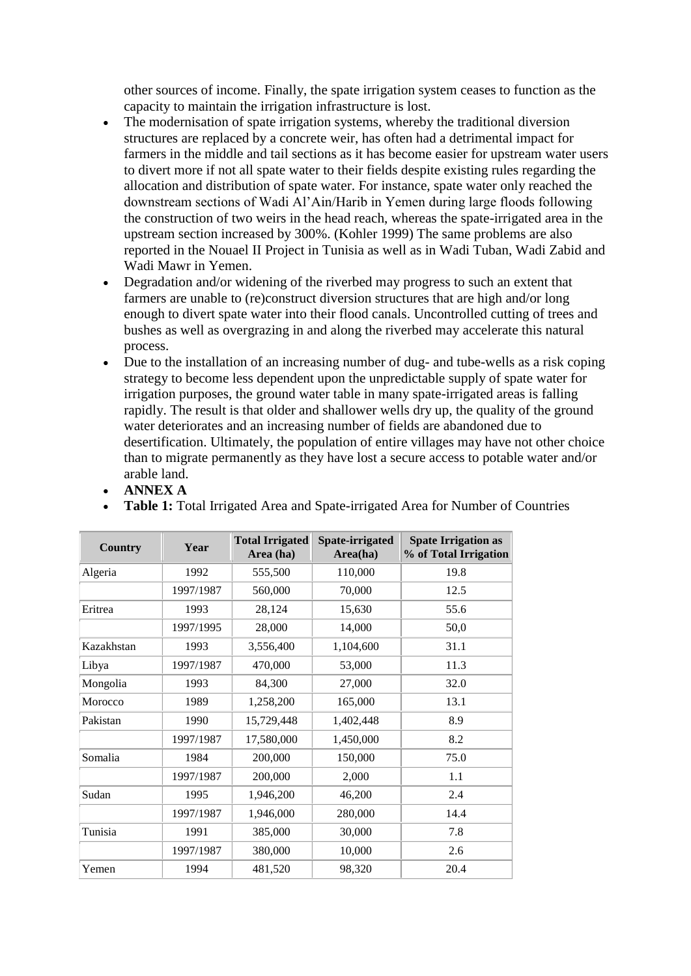other sources of income. Finally, the spate irrigation system ceases to function as the capacity to maintain the irrigation infrastructure is lost.

- The modernisation of spate irrigation systems, whereby the traditional diversion structures are replaced by a concrete weir, has often had a detrimental impact for farmers in the middle and tail sections as it has become easier for upstream water users to divert more if not all spate water to their fields despite existing rules regarding the allocation and distribution of spate water. For instance, spate water only reached the downstream sections of Wadi Al'Ain/Harib in Yemen during large floods following the construction of two weirs in the head reach, whereas the spate-irrigated area in the upstream section increased by 300%. (Kohler 1999) The same problems are also reported in the Nouael II Project in Tunisia as well as in Wadi Tuban, Wadi Zabid and Wadi Mawr in Yemen.
- Degradation and/or widening of the riverbed may progress to such an extent that farmers are unable to (re)construct diversion structures that are high and/or long enough to divert spate water into their flood canals. Uncontrolled cutting of trees and bushes as well as overgrazing in and along the riverbed may accelerate this natural process.
- Due to the installation of an increasing number of dug- and tube-wells as a risk coping strategy to become less dependent upon the unpredictable supply of spate water for irrigation purposes, the ground water table in many spate-irrigated areas is falling rapidly. The result is that older and shallower wells dry up, the quality of the ground water deteriorates and an increasing number of fields are abandoned due to desertification. Ultimately, the population of entire villages may have not other choice than to migrate permanently as they have lost a secure access to potable water and/or arable land.

**Table 1:** Total Irrigated Area and Spate-irrigated Area for Number of Countries

| <b>Country</b> | Year      | <b>Total Irrigated</b><br>Area (ha) | Spate-irrigated<br>Area(ha) | <b>Spate Irrigation as</b><br>% of Total Irrigation |
|----------------|-----------|-------------------------------------|-----------------------------|-----------------------------------------------------|
| Algeria        | 1992      | 555,500                             | 110,000                     | 19.8                                                |
|                | 1997/1987 | 560,000                             | 70,000                      | 12.5                                                |
| Eritrea        | 1993      | 28,124                              | 15,630                      | 55.6                                                |
|                | 1997/1995 | 28,000                              | 14,000                      | 50,0                                                |
| Kazakhstan     | 1993      | 3,556,400                           | 1,104,600                   | 31.1                                                |
| Libya          | 1997/1987 | 470,000                             | 53,000                      | 11.3                                                |
| Mongolia       | 1993      | 84,300                              | 27,000                      | 32.0                                                |
| Morocco        | 1989      | 1,258,200                           | 165,000                     | 13.1                                                |
| Pakistan       | 1990      | 15,729,448                          | 1,402,448                   | 8.9                                                 |
|                | 1997/1987 | 17,580,000                          | 1,450,000                   | 8.2                                                 |
| Somalia        | 1984      | 200,000                             | 150,000                     | 75.0                                                |
|                | 1997/1987 | 200,000                             | 2,000                       | 1.1                                                 |
| Sudan          | 1995      | 1,946,200                           | 46,200                      | 2.4                                                 |
|                | 1997/1987 | 1,946,000                           | 280,000                     | 14.4                                                |
| Tunisia        | 1991      | 385,000                             | 30,000                      | 7.8                                                 |
|                | 1997/1987 | 380,000                             | 10,000                      | 2.6                                                 |
| Yemen          | 1994      | 481,520                             | 98,320                      | 20.4                                                |

**ANNEX A**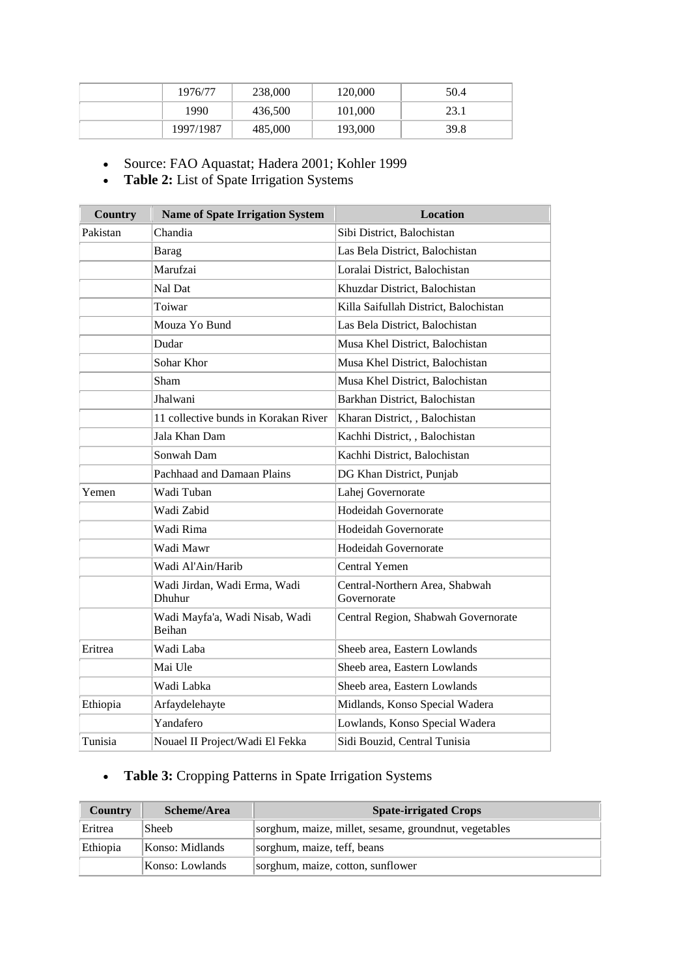| 1976/77   | 238,000 | 120,000 | 50.4 |
|-----------|---------|---------|------|
| 1990      | 436,500 | 101,000 | 23.1 |
| 1997/1987 | 485,000 | 193,000 | 39.8 |

Source: FAO Aquastat; Hadera 2001; Kohler 1999

**Table 2:** List of Spate Irrigation Systems

| <b>Country</b> | <b>Name of Spate Irrigation System</b>          | <b>Location</b>                               |
|----------------|-------------------------------------------------|-----------------------------------------------|
| Pakistan       | Chandia                                         | Sibi District, Balochistan                    |
|                | Barag                                           | Las Bela District, Balochistan                |
|                | Marufzai                                        | Loralai District, Balochistan                 |
|                | Nal Dat                                         | Khuzdar District, Balochistan                 |
|                | Toiwar                                          | Killa Saifullah District, Balochistan         |
|                | Mouza Yo Bund                                   | Las Bela District, Balochistan                |
|                | Dudar                                           | Musa Khel District, Balochistan               |
|                | Sohar Khor                                      | Musa Khel District, Balochistan               |
|                | Sham                                            | Musa Khel District, Balochistan               |
|                | Jhalwani                                        | Barkhan District, Balochistan                 |
|                | 11 collective bunds in Korakan River            | Kharan District, , Balochistan                |
|                | Jala Khan Dam                                   | Kachhi District, , Balochistan                |
|                | Sonwah Dam                                      | Kachhi District, Balochistan                  |
|                | Pachhaad and Damaan Plains                      | DG Khan District, Punjab                      |
| Yemen          | Wadi Tuban                                      | Lahej Governorate                             |
|                | Wadi Zabid                                      | <b>Hodeidah Governorate</b>                   |
|                | Wadi Rima                                       | <b>Hodeidah Governorate</b>                   |
|                | Wadi Mawr                                       | <b>Hodeidah Governorate</b>                   |
|                | Wadi Al'Ain/Harib                               | <b>Central Yemen</b>                          |
|                | Wadi Jirdan, Wadi Erma, Wadi<br>Dhuhur          | Central-Northern Area, Shabwah<br>Governorate |
|                | Wadi Mayfa'a, Wadi Nisab, Wadi<br><b>Beihan</b> | Central Region, Shabwah Governorate           |
| Eritrea        | Wadi Laba                                       | Sheeb area, Eastern Lowlands                  |
|                | Mai Ule                                         | Sheeb area, Eastern Lowlands                  |
|                | Wadi Labka                                      | Sheeb area, Eastern Lowlands                  |
| Ethiopia       | Arfaydelehayte                                  | Midlands, Konso Special Wadera                |
|                | Yandafero                                       | Lowlands, Konso Special Wadera                |
| Tunisia        | Nouael II Project/Wadi El Fekka                 | Sidi Bouzid, Central Tunisia                  |

# **Table 3:** Cropping Patterns in Spate Irrigation Systems

| <b>Country</b> | Scheme/Area     | <b>Spate-irrigated Crops</b>                          |
|----------------|-----------------|-------------------------------------------------------|
| Eritrea        | Sheeb           | sorghum, maize, millet, sesame, groundnut, vegetables |
| Ethiopia       | Konso: Midlands | sorghum, maize, teff, beans                           |
|                | Konso: Lowlands | sorghum, maize, cotton, sunflower                     |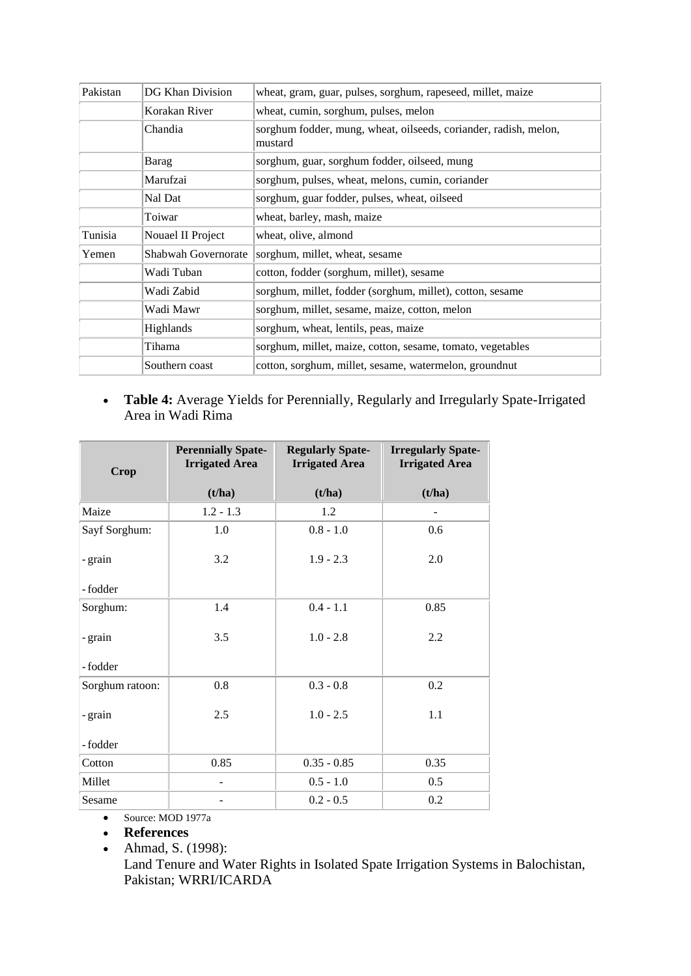| Pakistan | DG Khan Division    | wheat, gram, guar, pulses, sorghum, rapeseed, millet, maize                 |  |
|----------|---------------------|-----------------------------------------------------------------------------|--|
|          | Korakan River       | wheat, cumin, sorghum, pulses, melon                                        |  |
|          | Chandia             | sorghum fodder, mung, wheat, oilseeds, coriander, radish, melon,<br>mustard |  |
|          | Barag               | sorghum, guar, sorghum fodder, oilseed, mung                                |  |
|          | Marufzai            | sorghum, pulses, wheat, melons, cumin, coriander                            |  |
|          | Nal Dat             | sorghum, guar fodder, pulses, wheat, oilseed                                |  |
|          | Toiwar              | wheat, barley, mash, maize                                                  |  |
| Tunisia  | Nouael II Project   | wheat, olive, almond                                                        |  |
| Yemen    | Shabwah Governorate | sorghum, millet, wheat, sesame                                              |  |
|          | Wadi Tuban          | cotton, fodder (sorghum, millet), sesame                                    |  |
|          | Wadi Zabid          | sorghum, millet, fodder (sorghum, millet), cotton, sesame                   |  |
|          | Wadi Mawr           | sorghum, millet, sesame, maize, cotton, melon                               |  |
|          | Highlands           | sorghum, wheat, lentils, peas, maize                                        |  |
|          | Tihama              | sorghum, millet, maize, cotton, sesame, tomato, vegetables                  |  |
|          | Southern coast      | cotton, sorghum, millet, sesame, watermelon, groundnut                      |  |

 **Table 4:** Average Yields for Perennially, Regularly and Irregularly Spate-Irrigated Area in Wadi Rima

| Crop            | <b>Perennially Spate-</b><br><b>Irrigated Area</b> | <b>Regularly Spate-</b><br><b>Irrigated Area</b> | <b>Irregularly Spate-</b><br><b>Irrigated Area</b> |
|-----------------|----------------------------------------------------|--------------------------------------------------|----------------------------------------------------|
|                 | (t/ha)                                             | (t/ha)                                           | (t/ha)                                             |
| Maize           | $1.2 - 1.3$                                        | 1.2                                              | $\overline{\phantom{a}}$                           |
| Sayf Sorghum:   | 1.0                                                | $0.8 - 1.0$                                      | 0.6                                                |
| - grain         | 3.2                                                | $1.9 - 2.3$                                      | 2.0                                                |
| -fodder         |                                                    |                                                  |                                                    |
| Sorghum:        | 1.4                                                | $0.4 - 1.1$                                      | 0.85                                               |
| - grain         | 3.5                                                | $1.0 - 2.8$                                      | 2.2                                                |
| -fodder         |                                                    |                                                  |                                                    |
| Sorghum ratoon: | 0.8                                                | $0.3 - 0.8$                                      | 0.2                                                |
| - grain         | 2.5                                                | $1.0 - 2.5$                                      | 1.1                                                |
| - fodder        |                                                    |                                                  |                                                    |
| Cotton          | 0.85                                               | $0.35 - 0.85$                                    | 0.35                                               |
| Millet          |                                                    | $0.5 - 1.0$                                      | 0.5                                                |
| Sesame          |                                                    | $0.2 - 0.5$                                      | 0.2                                                |

Source: MOD 1977a

- **References**
- Ahmad, S. (1998):

Land Tenure and Water Rights in Isolated Spate Irrigation Systems in Balochistan, Pakistan; WRRI/ICARDA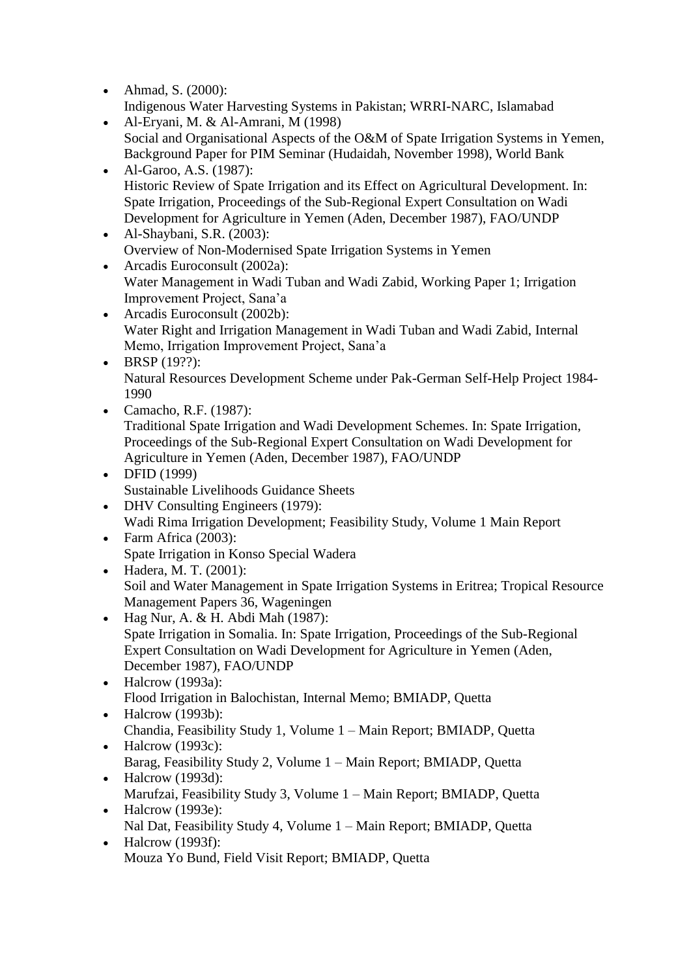• Ahmad, S. (2000): Indigenous Water Harvesting Systems in Pakistan; WRRI-NARC, Islamabad

- Al-Eryani, M. & Al-Amrani, M (1998) Social and Organisational Aspects of the O&M of Spate Irrigation Systems in Yemen, Background Paper for PIM Seminar (Hudaidah, November 1998), World Bank
- Al-Garoo, A.S. (1987): Historic Review of Spate Irrigation and its Effect on Agricultural Development. In: Spate Irrigation, Proceedings of the Sub-Regional Expert Consultation on Wadi Development for Agriculture in Yemen (Aden, December 1987), FAO/UNDP
- Al-Shaybani, S.R. (2003): Overview of Non-Modernised Spate Irrigation Systems in Yemen
- Arcadis Euroconsult (2002a): Water Management in Wadi Tuban and Wadi Zabid, Working Paper 1; Irrigation Improvement Project, Sana'a
- Arcadis Euroconsult (2002b): Water Right and Irrigation Management in Wadi Tuban and Wadi Zabid, Internal Memo, Irrigation Improvement Project, Sana'a
- $\bullet$  BRSP (19??): Natural Resources Development Scheme under Pak-German Self-Help Project 1984- 1990
- Camacho, R.F. (1987): Traditional Spate Irrigation and Wadi Development Schemes. In: Spate Irrigation, Proceedings of the Sub-Regional Expert Consultation on Wadi Development for Agriculture in Yemen (Aden, December 1987), FAO/UNDP
- DFID (1999) Sustainable Livelihoods Guidance Sheets
- DHV Consulting Engineers (1979): Wadi Rima Irrigation Development; Feasibility Study, Volume 1 Main Report
- Farm Africa (2003): Spate Irrigation in Konso Special Wadera
- Hadera, M. T. (2001): Soil and Water Management in Spate Irrigation Systems in Eritrea; Tropical Resource Management Papers 36, Wageningen
- $\bullet$  Hag Nur, A. & H. Abdi Mah (1987): Spate Irrigation in Somalia. In: Spate Irrigation, Proceedings of the Sub-Regional Expert Consultation on Wadi Development for Agriculture in Yemen (Aden, December 1987), FAO/UNDP
- $\bullet$  Halcrow (1993a): Flood Irrigation in Balochistan, Internal Memo; BMIADP, Quetta
- Halcrow (1993b): Chandia, Feasibility Study 1, Volume 1 – Main Report; BMIADP, Quetta
- $\bullet$  Halcrow (1993c): Barag, Feasibility Study 2, Volume 1 – Main Report; BMIADP, Quetta  $\bullet$  Halcrow (1993d):
- Marufzai, Feasibility Study 3, Volume 1 Main Report; BMIADP, Quetta  $\bullet$  Halcrow (1993e):
- Nal Dat, Feasibility Study 4, Volume 1 Main Report; BMIADP, Quetta  $\bullet$  Halcrow (1993f):
	- Mouza Yo Bund, Field Visit Report; BMIADP, Quetta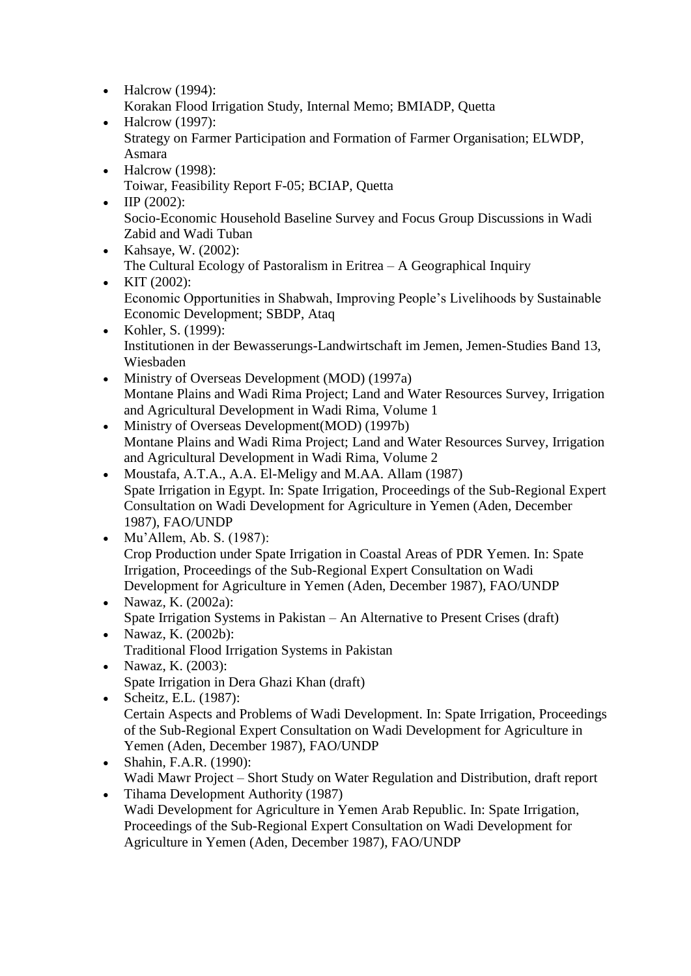- $\bullet$  Halcrow (1994): Korakan Flood Irrigation Study, Internal Memo; BMIADP, Quetta
- $\bullet$  Halcrow (1997): Strategy on Farmer Participation and Formation of Farmer Organisation; ELWDP, Asmara
- Halcrow (1998): Toiwar, Feasibility Report F-05; BCIAP, Quetta
- $\Psi$  IIP (2002): Socio-Economic Household Baseline Survey and Focus Group Discussions in Wadi Zabid and Wadi Tuban
- Kahsaye, W. (2002): The Cultural Ecology of Pastoralism in Eritrea – A Geographical Inquiry
- KIT  $(2002)$ : Economic Opportunities in Shabwah, Improving People's Livelihoods by Sustainable Economic Development; SBDP, Ataq
- Kohler, S. (1999): Institutionen in der Bewasserungs-Landwirtschaft im Jemen, Jemen-Studies Band 13, Wiesbaden
- Ministry of Overseas Development (MOD) (1997a) Montane Plains and Wadi Rima Project; Land and Water Resources Survey, Irrigation and Agricultural Development in Wadi Rima, Volume 1
- Ministry of Overseas Development(MOD) (1997b) Montane Plains and Wadi Rima Project; Land and Water Resources Survey, Irrigation and Agricultural Development in Wadi Rima, Volume 2
- Moustafa, A.T.A., A.A. El-Meligy and M.AA. Allam (1987) Spate Irrigation in Egypt. In: Spate Irrigation, Proceedings of the Sub-Regional Expert Consultation on Wadi Development for Agriculture in Yemen (Aden, December 1987), FAO/UNDP
- Mu'Allem, Ab. S. (1987): Crop Production under Spate Irrigation in Coastal Areas of PDR Yemen. In: Spate Irrigation, Proceedings of the Sub-Regional Expert Consultation on Wadi Development for Agriculture in Yemen (Aden, December 1987), FAO/UNDP
- Nawaz, K. (2002a): Spate Irrigation Systems in Pakistan – An Alternative to Present Crises (draft)
- Nawaz, K. (2002b): Traditional Flood Irrigation Systems in Pakistan
- Nawaz, K.  $(2003)$ : Spate Irrigation in Dera Ghazi Khan (draft)
- Scheitz, E.L. (1987): Certain Aspects and Problems of Wadi Development. In: Spate Irrigation, Proceedings of the Sub-Regional Expert Consultation on Wadi Development for Agriculture in Yemen (Aden, December 1987), FAO/UNDP
- Shahin, F.A.R. (1990): Wadi Mawr Project – Short Study on Water Regulation and Distribution, draft report
- Tihama Development Authority (1987) Wadi Development for Agriculture in Yemen Arab Republic. In: Spate Irrigation, Proceedings of the Sub-Regional Expert Consultation on Wadi Development for Agriculture in Yemen (Aden, December 1987), FAO/UNDP